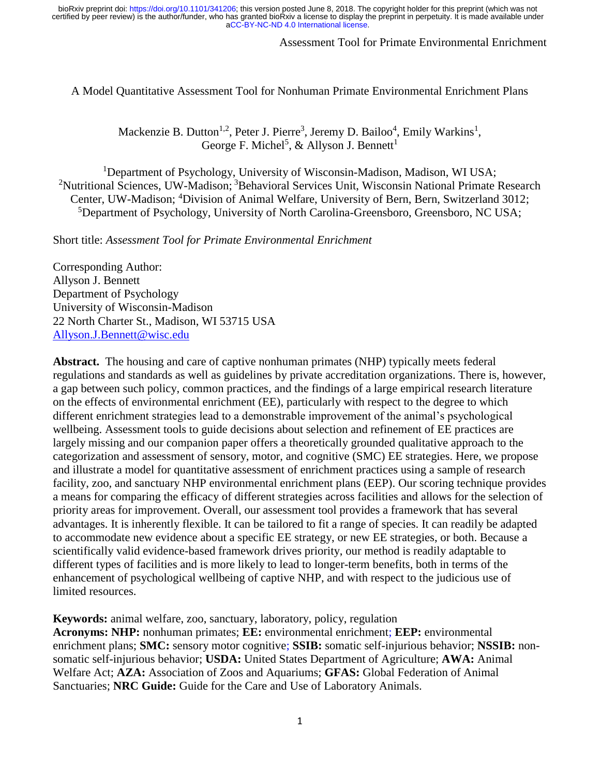# Assessment Tool for Primate Environmental Enrichment

A Model Quantitative Assessment Tool for Nonhuman Primate Environmental Enrichment Plans

Mackenzie B. Dutton<sup>1,2</sup>, Peter J. Pierre<sup>3</sup>, Jeremy D. Bailoo<sup>4</sup>, Emily Warkins<sup>1</sup>, George F. Michel<sup>5</sup>, & Allyson J. Bennett<sup>1</sup>

<sup>1</sup>Department of Psychology, University of Wisconsin-Madison, Madison, WI USA; <sup>2</sup>Nutritional Sciences, UW-Madison; <sup>3</sup>Behavioral Services Unit, Wisconsin National Primate Research Center, UW-Madison; <sup>4</sup>Division of Animal Welfare, University of Bern, Bern, Switzerland 3012; <sup>5</sup>Department of Psychology, University of North Carolina-Greensboro, Greensboro, NC USA;

Short title: *Assessment Tool for Primate Environmental Enrichment*

Corresponding Author: Allyson J. Bennett Department of Psychology University of Wisconsin-Madison 22 North Charter St., Madison, WI 53715 USA [Allyson.J.Bennett@wisc.edu](mailto:Allyson.J.Bennett@wisc.edu)

**Abstract.** The housing and care of captive nonhuman primates (NHP) typically meets federal regulations and standards as well as guidelines by private accreditation organizations. There is, however, a gap between such policy, common practices, and the findings of a large empirical research literature on the effects of environmental enrichment (EE), particularly with respect to the degree to which different enrichment strategies lead to a demonstrable improvement of the animal's psychological wellbeing. Assessment tools to guide decisions about selection and refinement of EE practices are largely missing and our companion paper offers a theoretically grounded qualitative approach to the categorization and assessment of sensory, motor, and cognitive (SMC) EE strategies. Here, we propose and illustrate a model for quantitative assessment of enrichment practices using a sample of research facility, zoo, and sanctuary NHP environmental enrichment plans (EEP). Our scoring technique provides a means for comparing the efficacy of different strategies across facilities and allows for the selection of priority areas for improvement. Overall, our assessment tool provides a framework that has several advantages. It is inherently flexible. It can be tailored to fit a range of species. It can readily be adapted to accommodate new evidence about a specific EE strategy, or new EE strategies, or both. Because a scientifically valid evidence-based framework drives priority, our method is readily adaptable to different types of facilities and is more likely to lead to longer-term benefits, both in terms of the enhancement of psychological wellbeing of captive NHP, and with respect to the judicious use of limited resources.

**Keywords:** animal welfare, zoo, sanctuary, laboratory, policy, regulation

**Acronyms: NHP:** nonhuman primates; **EE:** environmental enrichment; **EEP:** environmental enrichment plans; **SMC:** sensory motor cognitive; **SSIB:** somatic self-injurious behavior; **NSSIB:** nonsomatic self-injurious behavior; **USDA:** United States Department of Agriculture; **AWA:** Animal Welfare Act; **AZA:** Association of Zoos and Aquariums; **GFAS:** Global Federation of Animal Sanctuaries; **NRC Guide:** Guide for the Care and Use of Laboratory Animals.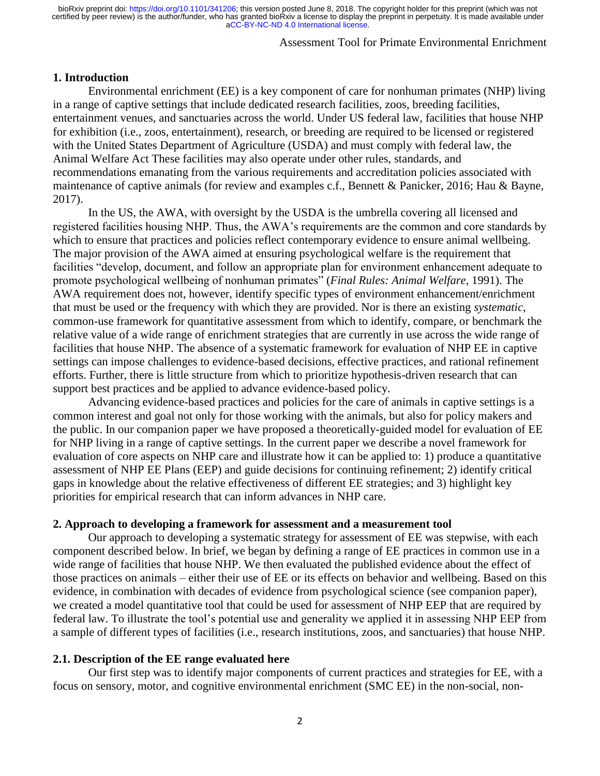# Assessment Tool for Primate Environmental Enrichment

#### **1. Introduction**

Environmental enrichment (EE) is a key component of care for nonhuman primates (NHP) living in a range of captive settings that include dedicated research facilities, zoos, breeding facilities, entertainment venues, and sanctuaries across the world. Under US federal law, facilities that house NHP for exhibition (i.e., zoos, entertainment), research, or breeding are required to be licensed or registered with the United States Department of Agriculture (USDA) and must comply with federal law, the Animal Welfare Act These facilities may also operate under other rules, standards, and recommendations emanating from the various requirements and accreditation policies associated with maintenance of captive animals (for review and examples c.f., Bennett & Panicker, 2016; Hau & Bayne, 2017).

In the US, the AWA, with oversight by the USDA is the umbrella covering all licensed and registered facilities housing NHP. Thus, the AWA's requirements are the common and core standards by which to ensure that practices and policies reflect contemporary evidence to ensure animal wellbeing. The major provision of the AWA aimed at ensuring psychological welfare is the requirement that facilities "develop, document, and follow an appropriate plan for environment enhancement adequate to promote psychological wellbeing of nonhuman primates" (*Final Rules: Animal Welfare*, 1991). The AWA requirement does not, however, identify specific types of environment enhancement/enrichment that must be used or the frequency with which they are provided. Nor is there an existing *systematic*, common-use framework for quantitative assessment from which to identify, compare, or benchmark the relative value of a wide range of enrichment strategies that are currently in use across the wide range of facilities that house NHP. The absence of a systematic framework for evaluation of NHP EE in captive settings can impose challenges to evidence-based decisions, effective practices, and rational refinement efforts. Further, there is little structure from which to prioritize hypothesis-driven research that can support best practices and be applied to advance evidence-based policy.

Advancing evidence-based practices and policies for the care of animals in captive settings is a common interest and goal not only for those working with the animals, but also for policy makers and the public. In our companion paper we have proposed a theoretically-guided model for evaluation of EE for NHP living in a range of captive settings. In the current paper we describe a novel framework for evaluation of core aspects on NHP care and illustrate how it can be applied to: 1) produce a quantitative assessment of NHP EE Plans (EEP) and guide decisions for continuing refinement; 2) identify critical gaps in knowledge about the relative effectiveness of different EE strategies; and 3) highlight key priorities for empirical research that can inform advances in NHP care.

#### **2. Approach to developing a framework for assessment and a measurement tool**

Our approach to developing a systematic strategy for assessment of EE was stepwise, with each component described below. In brief, we began by defining a range of EE practices in common use in a wide range of facilities that house NHP. We then evaluated the published evidence about the effect of those practices on animals – either their use of EE or its effects on behavior and wellbeing. Based on this evidence, in combination with decades of evidence from psychological science (see companion paper), we created a model quantitative tool that could be used for assessment of NHP EEP that are required by federal law. To illustrate the tool's potential use and generality we applied it in assessing NHP EEP from a sample of different types of facilities (i.e., research institutions, zoos, and sanctuaries) that house NHP.

### **2.1. Description of the EE range evaluated here**

Our first step was to identify major components of current practices and strategies for EE, with a focus on sensory, motor, and cognitive environmental enrichment (SMC EE) in the non-social, non-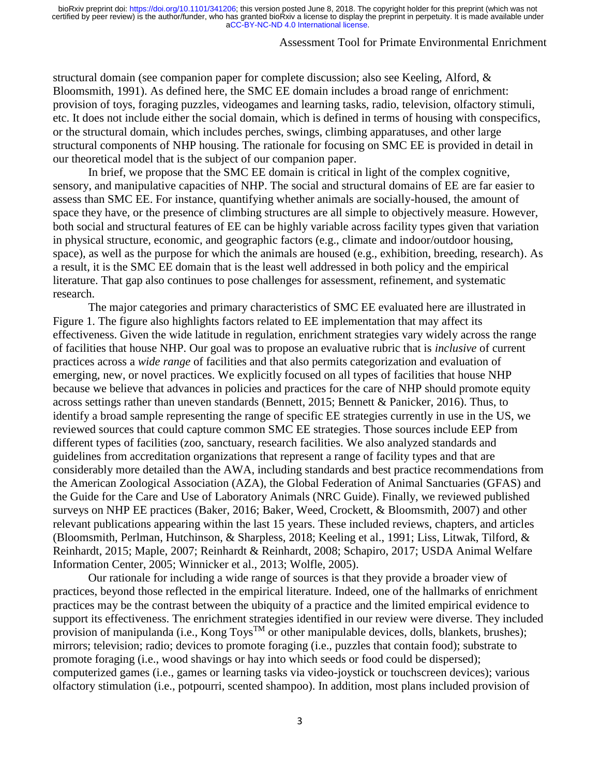### Assessment Tool for Primate Environmental Enrichment

structural domain (see companion paper for complete discussion; also see Keeling, Alford, & Bloomsmith, 1991). As defined here, the SMC EE domain includes a broad range of enrichment: provision of toys, foraging puzzles, videogames and learning tasks, radio, television, olfactory stimuli, etc. It does not include either the social domain, which is defined in terms of housing with conspecifics, or the structural domain, which includes perches, swings, climbing apparatuses, and other large structural components of NHP housing. The rationale for focusing on SMC EE is provided in detail in our theoretical model that is the subject of our companion paper.

In brief, we propose that the SMC EE domain is critical in light of the complex cognitive, sensory, and manipulative capacities of NHP. The social and structural domains of EE are far easier to assess than SMC EE. For instance, quantifying whether animals are socially-housed, the amount of space they have, or the presence of climbing structures are all simple to objectively measure. However, both social and structural features of EE can be highly variable across facility types given that variation in physical structure, economic, and geographic factors (e.g., climate and indoor/outdoor housing, space), as well as the purpose for which the animals are housed (e.g., exhibition, breeding, research). As a result, it is the SMC EE domain that is the least well addressed in both policy and the empirical literature. That gap also continues to pose challenges for assessment, refinement, and systematic research.

The major categories and primary characteristics of SMC EE evaluated here are illustrated in Figure 1. The figure also highlights factors related to EE implementation that may affect its effectiveness. Given the wide latitude in regulation, enrichment strategies vary widely across the range of facilities that house NHP. Our goal was to propose an evaluative rubric that is *inclusive* of current practices across a *wide range* of facilities and that also permits categorization and evaluation of emerging, new, or novel practices. We explicitly focused on all types of facilities that house NHP because we believe that advances in policies and practices for the care of NHP should promote equity across settings rather than uneven standards (Bennett, 2015; Bennett & Panicker, 2016). Thus, to identify a broad sample representing the range of specific EE strategies currently in use in the US, we reviewed sources that could capture common SMC EE strategies. Those sources include EEP from different types of facilities (zoo, sanctuary, research facilities. We also analyzed standards and guidelines from accreditation organizations that represent a range of facility types and that are considerably more detailed than the AWA, including standards and best practice recommendations from the American Zoological Association (AZA), the Global Federation of Animal Sanctuaries (GFAS) and the Guide for the Care and Use of Laboratory Animals (NRC Guide). Finally, we reviewed published surveys on NHP EE practices (Baker, 2016; Baker, Weed, Crockett, & Bloomsmith, 2007) and other relevant publications appearing within the last 15 years. These included reviews, chapters, and articles (Bloomsmith, Perlman, Hutchinson, & Sharpless, 2018; Keeling et al., 1991; Liss, Litwak, Tilford, & Reinhardt, 2015; Maple, 2007; Reinhardt & Reinhardt, 2008; Schapiro, 2017; USDA Animal Welfare Information Center, 2005; Winnicker et al., 2013; Wolfle, 2005).

Our rationale for including a wide range of sources is that they provide a broader view of practices, beyond those reflected in the empirical literature. Indeed, one of the hallmarks of enrichment practices may be the contrast between the ubiquity of a practice and the limited empirical evidence to support its effectiveness. The enrichment strategies identified in our review were diverse. They included provision of manipulanda (i.e., Kong Toys<sup>TM</sup> or other manipulable devices, dolls, blankets, brushes); mirrors; television; radio; devices to promote foraging (i.e., puzzles that contain food); substrate to promote foraging (i.e., wood shavings or hay into which seeds or food could be dispersed); computerized games (i.e., games or learning tasks via video-joystick or touchscreen devices); various olfactory stimulation (i.e., potpourri, scented shampoo). In addition, most plans included provision of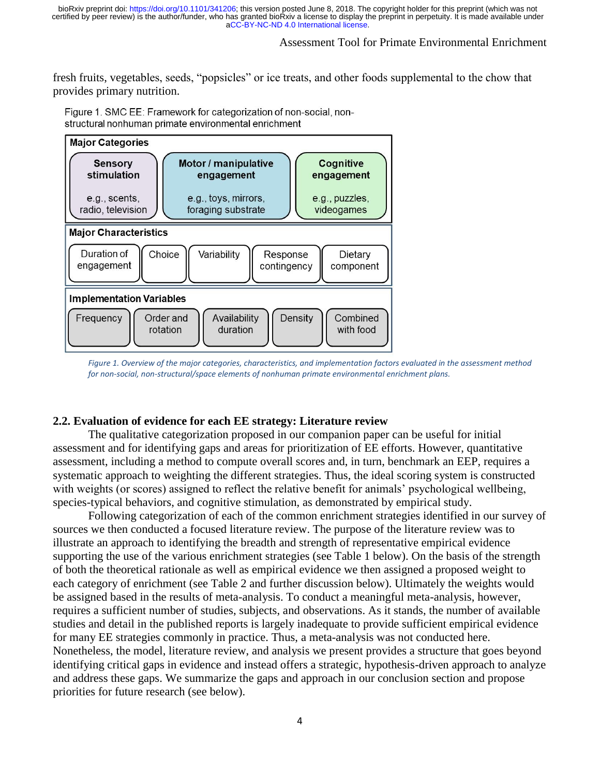# Assessment Tool for Primate Environmental Enrichment

fresh fruits, vegetables, seeds, "popsicles" or ice treats, and other foods supplemental to the chow that provides primary nutrition.

Figure 1, SMC EE: Framework for categorization of non-social, nonstructural nonhuman primate environmental enrichment



*Figure 1. Overview of the major categories, characteristics, and implementation factors evaluated in the assessment method for non-social, non-structural/space elements of nonhuman primate environmental enrichment plans.*

### **2.2. Evaluation of evidence for each EE strategy: Literature review**

The qualitative categorization proposed in our companion paper can be useful for initial assessment and for identifying gaps and areas for prioritization of EE efforts. However, quantitative assessment, including a method to compute overall scores and, in turn, benchmark an EEP, requires a systematic approach to weighting the different strategies. Thus, the ideal scoring system is constructed with weights (or scores) assigned to reflect the relative benefit for animals' psychological wellbeing, species-typical behaviors, and cognitive stimulation, as demonstrated by empirical study.

Following categorization of each of the common enrichment strategies identified in our survey of sources we then conducted a focused literature review. The purpose of the literature review was to illustrate an approach to identifying the breadth and strength of representative empirical evidence supporting the use of the various enrichment strategies (see Table 1 below). On the basis of the strength of both the theoretical rationale as well as empirical evidence we then assigned a proposed weight to each category of enrichment (see Table 2 and further discussion below). Ultimately the weights would be assigned based in the results of meta-analysis. To conduct a meaningful meta-analysis, however, requires a sufficient number of studies, subjects, and observations. As it stands, the number of available studies and detail in the published reports is largely inadequate to provide sufficient empirical evidence for many EE strategies commonly in practice. Thus, a meta-analysis was not conducted here. Nonetheless, the model, literature review, and analysis we present provides a structure that goes beyond identifying critical gaps in evidence and instead offers a strategic, hypothesis-driven approach to analyze and address these gaps. We summarize the gaps and approach in our conclusion section and propose priorities for future research (see below).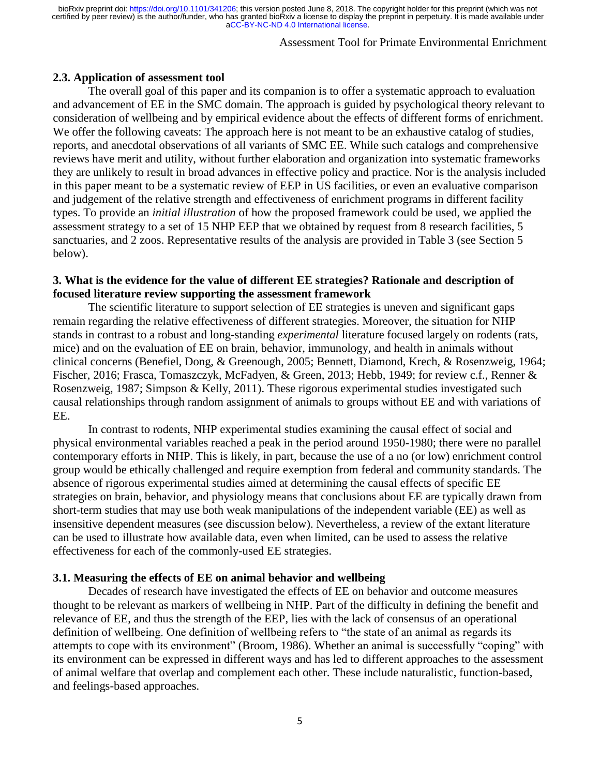# Assessment Tool for Primate Environmental Enrichment

### **2.3. Application of assessment tool**

The overall goal of this paper and its companion is to offer a systematic approach to evaluation and advancement of EE in the SMC domain. The approach is guided by psychological theory relevant to consideration of wellbeing and by empirical evidence about the effects of different forms of enrichment. We offer the following caveats: The approach here is not meant to be an exhaustive catalog of studies, reports, and anecdotal observations of all variants of SMC EE. While such catalogs and comprehensive reviews have merit and utility, without further elaboration and organization into systematic frameworks they are unlikely to result in broad advances in effective policy and practice. Nor is the analysis included in this paper meant to be a systematic review of EEP in US facilities, or even an evaluative comparison and judgement of the relative strength and effectiveness of enrichment programs in different facility types. To provide an *initial illustration* of how the proposed framework could be used, we applied the assessment strategy to a set of 15 NHP EEP that we obtained by request from 8 research facilities, 5 sanctuaries, and 2 zoos. Representative results of the analysis are provided in Table 3 (see Section 5 below).

# **3. What is the evidence for the value of different EE strategies? Rationale and description of focused literature review supporting the assessment framework**

The scientific literature to support selection of EE strategies is uneven and significant gaps remain regarding the relative effectiveness of different strategies. Moreover, the situation for NHP stands in contrast to a robust and long-standing *experimental* literature focused largely on rodents (rats, mice) and on the evaluation of EE on brain, behavior, immunology, and health in animals without clinical concerns (Benefiel, Dong, & Greenough, 2005; Bennett, Diamond, Krech, & Rosenzweig, 1964; Fischer, 2016; Frasca, Tomaszczyk, McFadyen, & Green, 2013; Hebb, 1949; for review c.f., Renner & Rosenzweig, 1987; Simpson & Kelly, 2011). These rigorous experimental studies investigated such causal relationships through random assignment of animals to groups without EE and with variations of EE.

In contrast to rodents, NHP experimental studies examining the causal effect of social and physical environmental variables reached a peak in the period around 1950-1980; there were no parallel contemporary efforts in NHP. This is likely, in part, because the use of a no (or low) enrichment control group would be ethically challenged and require exemption from federal and community standards. The absence of rigorous experimental studies aimed at determining the causal effects of specific EE strategies on brain, behavior, and physiology means that conclusions about EE are typically drawn from short-term studies that may use both weak manipulations of the independent variable (EE) as well as insensitive dependent measures (see discussion below). Nevertheless, a review of the extant literature can be used to illustrate how available data, even when limited, can be used to assess the relative effectiveness for each of the commonly-used EE strategies.

#### **3.1. Measuring the effects of EE on animal behavior and wellbeing**

Decades of research have investigated the effects of EE on behavior and outcome measures thought to be relevant as markers of wellbeing in NHP. Part of the difficulty in defining the benefit and relevance of EE, and thus the strength of the EEP, lies with the lack of consensus of an operational definition of wellbeing. One definition of wellbeing refers to "the state of an animal as regards its attempts to cope with its environment" (Broom, 1986). Whether an animal is successfully "coping" with its environment can be expressed in different ways and has led to different approaches to the assessment of animal welfare that overlap and complement each other. These include naturalistic, function-based, and feelings-based approaches.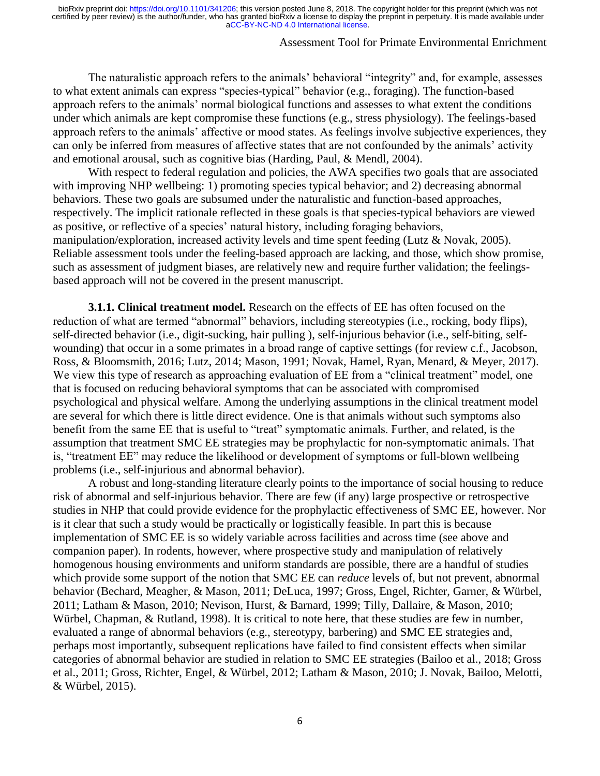## Assessment Tool for Primate Environmental Enrichment

The naturalistic approach refers to the animals' behavioral "integrity" and, for example, assesses to what extent animals can express "species-typical" behavior (e.g., foraging). The function-based approach refers to the animals' normal biological functions and assesses to what extent the conditions under which animals are kept compromise these functions (e.g., stress physiology). The feelings-based approach refers to the animals' affective or mood states. As feelings involve subjective experiences, they can only be inferred from measures of affective states that are not confounded by the animals' activity and emotional arousal, such as cognitive bias (Harding, Paul, & Mendl, 2004).

With respect to federal regulation and policies, the AWA specifies two goals that are associated with improving NHP wellbeing: 1) promoting species typical behavior; and 2) decreasing abnormal behaviors. These two goals are subsumed under the naturalistic and function-based approaches, respectively. The implicit rationale reflected in these goals is that species-typical behaviors are viewed as positive, or reflective of a species' natural history, including foraging behaviors, manipulation/exploration, increased activity levels and time spent feeding (Lutz & Novak, 2005). Reliable assessment tools under the feeling-based approach are lacking, and those, which show promise, such as assessment of judgment biases, are relatively new and require further validation; the feelingsbased approach will not be covered in the present manuscript.

**3.1.1. Clinical treatment model.** Research on the effects of EE has often focused on the reduction of what are termed "abnormal" behaviors, including stereotypies (i.e., rocking, body flips), self-directed behavior (i.e., digit-sucking, hair pulling ), self-injurious behavior (i.e., self-biting, selfwounding) that occur in a some primates in a broad range of captive settings (for review c.f., Jacobson, Ross, & Bloomsmith, 2016; Lutz, 2014; Mason, 1991; Novak, Hamel, Ryan, Menard, & Meyer, 2017). We view this type of research as approaching evaluation of EE from a "clinical treatment" model, one that is focused on reducing behavioral symptoms that can be associated with compromised psychological and physical welfare. Among the underlying assumptions in the clinical treatment model are several for which there is little direct evidence. One is that animals without such symptoms also benefit from the same EE that is useful to "treat" symptomatic animals. Further, and related, is the assumption that treatment SMC EE strategies may be prophylactic for non-symptomatic animals. That is, "treatment EE" may reduce the likelihood or development of symptoms or full-blown wellbeing problems (i.e., self-injurious and abnormal behavior).

A robust and long-standing literature clearly points to the importance of social housing to reduce risk of abnormal and self-injurious behavior. There are few (if any) large prospective or retrospective studies in NHP that could provide evidence for the prophylactic effectiveness of SMC EE, however. Nor is it clear that such a study would be practically or logistically feasible. In part this is because implementation of SMC EE is so widely variable across facilities and across time (see above and companion paper). In rodents, however, where prospective study and manipulation of relatively homogenous housing environments and uniform standards are possible, there are a handful of studies which provide some support of the notion that SMC EE can *reduce* levels of, but not prevent, abnormal behavior (Bechard, Meagher, & Mason, 2011; DeLuca, 1997; Gross, Engel, Richter, Garner, & Würbel, 2011; Latham & Mason, 2010; Nevison, Hurst, & Barnard, 1999; Tilly, Dallaire, & Mason, 2010; Würbel, Chapman, & Rutland, 1998). It is critical to note here, that these studies are few in number, evaluated a range of abnormal behaviors (e.g., stereotypy, barbering) and SMC EE strategies and, perhaps most importantly, subsequent replications have failed to find consistent effects when similar categories of abnormal behavior are studied in relation to SMC EE strategies (Bailoo et al., 2018; Gross et al., 2011; Gross, Richter, Engel, & Würbel, 2012; Latham & Mason, 2010; J. Novak, Bailoo, Melotti, & Würbel, 2015).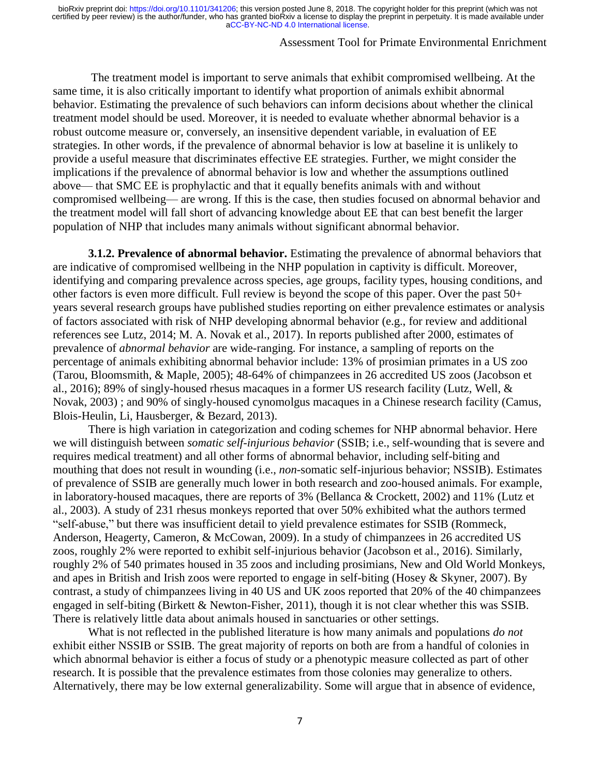# Assessment Tool for Primate Environmental Enrichment

The treatment model is important to serve animals that exhibit compromised wellbeing. At the same time, it is also critically important to identify what proportion of animals exhibit abnormal behavior. Estimating the prevalence of such behaviors can inform decisions about whether the clinical treatment model should be used. Moreover, it is needed to evaluate whether abnormal behavior is a robust outcome measure or, conversely, an insensitive dependent variable, in evaluation of EE strategies. In other words, if the prevalence of abnormal behavior is low at baseline it is unlikely to provide a useful measure that discriminates effective EE strategies. Further, we might consider the implications if the prevalence of abnormal behavior is low and whether the assumptions outlined above— that SMC EE is prophylactic and that it equally benefits animals with and without compromised wellbeing— are wrong. If this is the case, then studies focused on abnormal behavior and the treatment model will fall short of advancing knowledge about EE that can best benefit the larger population of NHP that includes many animals without significant abnormal behavior.

**3.1.2. Prevalence of abnormal behavior.** Estimating the prevalence of abnormal behaviors that are indicative of compromised wellbeing in the NHP population in captivity is difficult. Moreover, identifying and comparing prevalence across species, age groups, facility types, housing conditions, and other factors is even more difficult. Full review is beyond the scope of this paper. Over the past 50+ years several research groups have published studies reporting on either prevalence estimates or analysis of factors associated with risk of NHP developing abnormal behavior (e.g., for review and additional references see Lutz, 2014; M. A. Novak et al., 2017). In reports published after 2000, estimates of prevalence of *abnormal behavior* are wide-ranging. For instance, a sampling of reports on the percentage of animals exhibiting abnormal behavior include: 13% of prosimian primates in a US zoo (Tarou, Bloomsmith, & Maple, 2005); 48-64% of chimpanzees in 26 accredited US zoos (Jacobson et al., 2016); 89% of singly-housed rhesus macaques in a former US research facility (Lutz, Well, & Novak, 2003) ; and 90% of singly-housed cynomolgus macaques in a Chinese research facility (Camus, Blois-Heulin, Li, Hausberger, & Bezard, 2013).

There is high variation in categorization and coding schemes for NHP abnormal behavior. Here we will distinguish between *somatic self-injurious behavior* (SSIB; i.e., self-wounding that is severe and requires medical treatment) and all other forms of abnormal behavior, including self-biting and mouthing that does not result in wounding (i.e., *non*-somatic self-injurious behavior; NSSIB). Estimates of prevalence of SSIB are generally much lower in both research and zoo-housed animals. For example, in laboratory-housed macaques, there are reports of 3% (Bellanca & Crockett, 2002) and 11% (Lutz et al., 2003). A study of 231 rhesus monkeys reported that over 50% exhibited what the authors termed "self-abuse," but there was insufficient detail to yield prevalence estimates for SSIB (Rommeck, Anderson, Heagerty, Cameron, & McCowan, 2009). In a study of chimpanzees in 26 accredited US zoos, roughly 2% were reported to exhibit self-injurious behavior (Jacobson et al., 2016). Similarly, roughly 2% of 540 primates housed in 35 zoos and including prosimians, New and Old World Monkeys, and apes in British and Irish zoos were reported to engage in self-biting (Hosey & Skyner, 2007). By contrast, a study of chimpanzees living in 40 US and UK zoos reported that 20% of the 40 chimpanzees engaged in self-biting (Birkett & Newton-Fisher, 2011), though it is not clear whether this was SSIB. There is relatively little data about animals housed in sanctuaries or other settings.

What is not reflected in the published literature is how many animals and populations *do not*  exhibit either NSSIB or SSIB. The great majority of reports on both are from a handful of colonies in which abnormal behavior is either a focus of study or a phenotypic measure collected as part of other research. It is possible that the prevalence estimates from those colonies may generalize to others. Alternatively, there may be low external generalizability. Some will argue that in absence of evidence,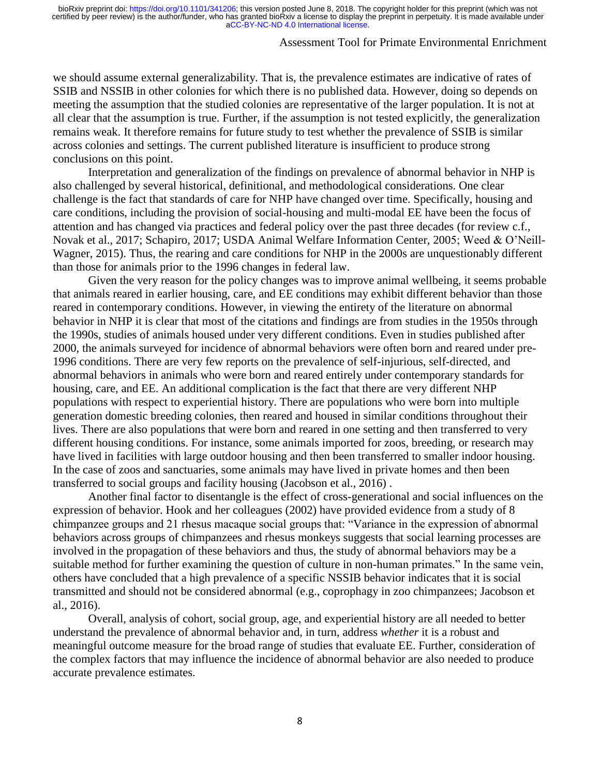## Assessment Tool for Primate Environmental Enrichment

we should assume external generalizability. That is, the prevalence estimates are indicative of rates of SSIB and NSSIB in other colonies for which there is no published data. However, doing so depends on meeting the assumption that the studied colonies are representative of the larger population. It is not at all clear that the assumption is true. Further, if the assumption is not tested explicitly, the generalization remains weak. It therefore remains for future study to test whether the prevalence of SSIB is similar across colonies and settings. The current published literature is insufficient to produce strong conclusions on this point.

Interpretation and generalization of the findings on prevalence of abnormal behavior in NHP is also challenged by several historical, definitional, and methodological considerations. One clear challenge is the fact that standards of care for NHP have changed over time. Specifically, housing and care conditions, including the provision of social-housing and multi-modal EE have been the focus of attention and has changed via practices and federal policy over the past three decades (for review c.f., Novak et al., 2017; Schapiro, 2017; USDA Animal Welfare Information Center, 2005; Weed & O'Neill-Wagner, 2015). Thus, the rearing and care conditions for NHP in the 2000s are unquestionably different than those for animals prior to the 1996 changes in federal law.

Given the very reason for the policy changes was to improve animal wellbeing, it seems probable that animals reared in earlier housing, care, and EE conditions may exhibit different behavior than those reared in contemporary conditions. However, in viewing the entirety of the literature on abnormal behavior in NHP it is clear that most of the citations and findings are from studies in the 1950s through the 1990s, studies of animals housed under very different conditions. Even in studies published after 2000, the animals surveyed for incidence of abnormal behaviors were often born and reared under pre-1996 conditions. There are very few reports on the prevalence of self-injurious, self-directed, and abnormal behaviors in animals who were born and reared entirely under contemporary standards for housing, care, and EE. An additional complication is the fact that there are very different NHP populations with respect to experiential history. There are populations who were born into multiple generation domestic breeding colonies, then reared and housed in similar conditions throughout their lives. There are also populations that were born and reared in one setting and then transferred to very different housing conditions. For instance, some animals imported for zoos, breeding, or research may have lived in facilities with large outdoor housing and then been transferred to smaller indoor housing. In the case of zoos and sanctuaries, some animals may have lived in private homes and then been transferred to social groups and facility housing (Jacobson et al., 2016) .

Another final factor to disentangle is the effect of cross-generational and social influences on the expression of behavior. Hook and her colleagues (2002) have provided evidence from a study of 8 chimpanzee groups and 21 rhesus macaque social groups that: "Variance in the expression of abnormal behaviors across groups of chimpanzees and rhesus monkeys suggests that social learning processes are involved in the propagation of these behaviors and thus, the study of abnormal behaviors may be a suitable method for further examining the question of culture in non-human primates." In the same vein, others have concluded that a high prevalence of a specific NSSIB behavior indicates that it is social transmitted and should not be considered abnormal (e.g., coprophagy in zoo chimpanzees; Jacobson et al., 2016).

Overall, analysis of cohort, social group, age, and experiential history are all needed to better understand the prevalence of abnormal behavior and, in turn, address *whether* it is a robust and meaningful outcome measure for the broad range of studies that evaluate EE. Further, consideration of the complex factors that may influence the incidence of abnormal behavior are also needed to produce accurate prevalence estimates.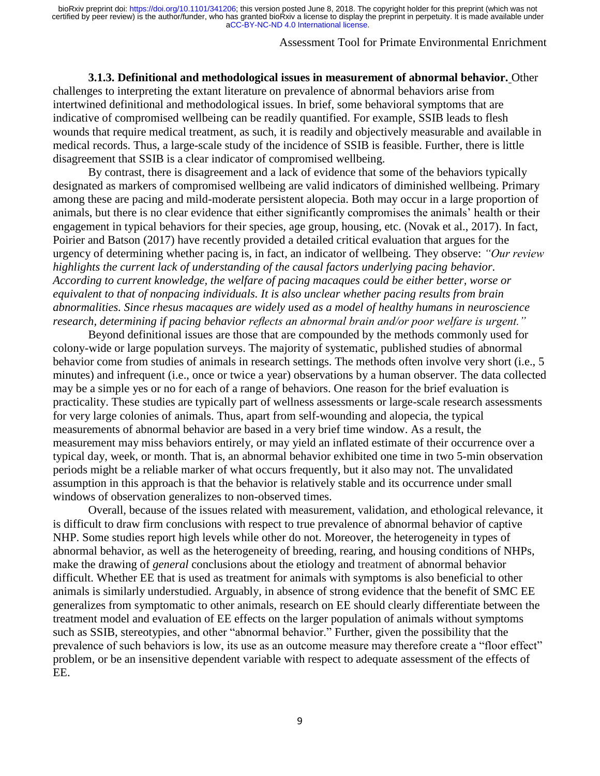### Assessment Tool for Primate Environmental Enrichment

**3.1.3. Definitional and methodological issues in measurement of abnormal behavior.** Other challenges to interpreting the extant literature on prevalence of abnormal behaviors arise from intertwined definitional and methodological issues. In brief, some behavioral symptoms that are indicative of compromised wellbeing can be readily quantified. For example, SSIB leads to flesh wounds that require medical treatment, as such, it is readily and objectively measurable and available in medical records. Thus, a large-scale study of the incidence of SSIB is feasible. Further, there is little disagreement that SSIB is a clear indicator of compromised wellbeing.

By contrast, there is disagreement and a lack of evidence that some of the behaviors typically designated as markers of compromised wellbeing are valid indicators of diminished wellbeing. Primary among these are pacing and mild-moderate persistent alopecia. Both may occur in a large proportion of animals, but there is no clear evidence that either significantly compromises the animals' health or their engagement in typical behaviors for their species, age group, housing, etc. (Novak et al., 2017). In fact, Poirier and Batson (2017) have recently provided a detailed critical evaluation that argues for the urgency of determining whether pacing is, in fact, an indicator of wellbeing. They observe: *"Our review highlights the current lack of understanding of the causal factors underlying pacing behavior. According to current knowledge, the welfare of pacing macaques could be either better, worse or equivalent to that of nonpacing individuals. It is also unclear whether pacing results from brain abnormalities. Since rhesus macaques are widely used as a model of healthy humans in neuroscience research, determining if pacing behavior reflects an abnormal brain and/or poor welfare is urgent."*

Beyond definitional issues are those that are compounded by the methods commonly used for colony-wide or large population surveys. The majority of systematic, published studies of abnormal behavior come from studies of animals in research settings. The methods often involve very short (i.e., 5 minutes) and infrequent (i.e., once or twice a year) observations by a human observer. The data collected may be a simple yes or no for each of a range of behaviors. One reason for the brief evaluation is practicality. These studies are typically part of wellness assessments or large-scale research assessments for very large colonies of animals. Thus, apart from self-wounding and alopecia, the typical measurements of abnormal behavior are based in a very brief time window. As a result, the measurement may miss behaviors entirely, or may yield an inflated estimate of their occurrence over a typical day, week, or month. That is, an abnormal behavior exhibited one time in two 5-min observation periods might be a reliable marker of what occurs frequently, but it also may not. The unvalidated assumption in this approach is that the behavior is relatively stable and its occurrence under small windows of observation generalizes to non-observed times.

Overall, because of the issues related with measurement, validation, and ethological relevance, it is difficult to draw firm conclusions with respect to true prevalence of abnormal behavior of captive NHP. Some studies report high levels while other do not. Moreover, the heterogeneity in types of abnormal behavior, as well as the heterogeneity of breeding, rearing, and housing conditions of NHPs, make the drawing of *general* conclusions about the etiology and treatment of abnormal behavior difficult. Whether EE that is used as treatment for animals with symptoms is also beneficial to other animals is similarly understudied. Arguably, in absence of strong evidence that the benefit of SMC EE generalizes from symptomatic to other animals, research on EE should clearly differentiate between the treatment model and evaluation of EE effects on the larger population of animals without symptoms such as SSIB, stereotypies, and other "abnormal behavior." Further, given the possibility that the prevalence of such behaviors is low, its use as an outcome measure may therefore create a "floor effect" problem, or be an insensitive dependent variable with respect to adequate assessment of the effects of EE.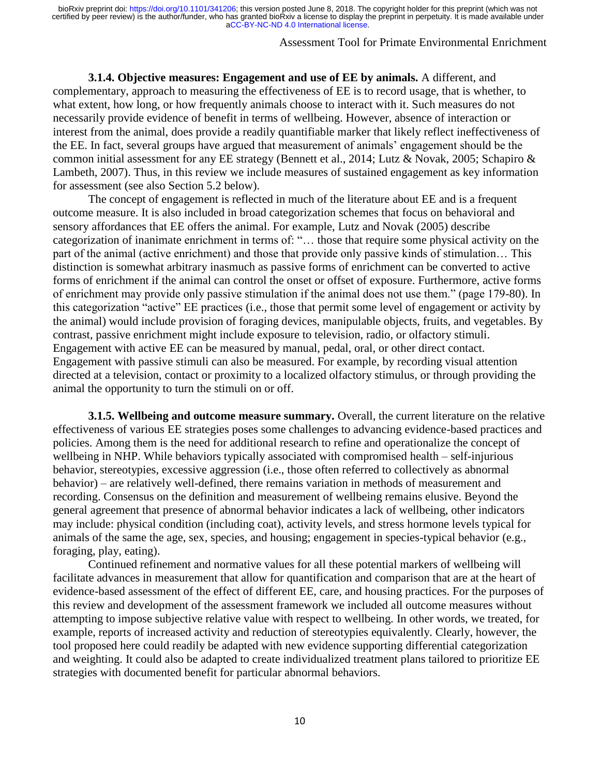### Assessment Tool for Primate Environmental Enrichment

**3.1.4. Objective measures: Engagement and use of EE by animals.** A different, and complementary, approach to measuring the effectiveness of EE is to record usage, that is whether, to what extent, how long, or how frequently animals choose to interact with it. Such measures do not necessarily provide evidence of benefit in terms of wellbeing. However, absence of interaction or interest from the animal, does provide a readily quantifiable marker that likely reflect ineffectiveness of the EE. In fact, several groups have argued that measurement of animals' engagement should be the common initial assessment for any EE strategy (Bennett et al., 2014; Lutz & Novak, 2005; Schapiro & Lambeth, 2007). Thus, in this review we include measures of sustained engagement as key information for assessment (see also Section 5.2 below).

The concept of engagement is reflected in much of the literature about EE and is a frequent outcome measure. It is also included in broad categorization schemes that focus on behavioral and sensory affordances that EE offers the animal. For example, Lutz and Novak (2005) describe categorization of inanimate enrichment in terms of: "… those that require some physical activity on the part of the animal (active enrichment) and those that provide only passive kinds of stimulation… This distinction is somewhat arbitrary inasmuch as passive forms of enrichment can be converted to active forms of enrichment if the animal can control the onset or offset of exposure. Furthermore, active forms of enrichment may provide only passive stimulation if the animal does not use them." (page 179-80). In this categorization "active" EE practices (i.e., those that permit some level of engagement or activity by the animal) would include provision of foraging devices, manipulable objects, fruits, and vegetables. By contrast, passive enrichment might include exposure to television, radio, or olfactory stimuli. Engagement with active EE can be measured by manual, pedal, oral, or other direct contact. Engagement with passive stimuli can also be measured. For example, by recording visual attention directed at a television, contact or proximity to a localized olfactory stimulus, or through providing the animal the opportunity to turn the stimuli on or off.

**3.1.5. Wellbeing and outcome measure summary.** Overall, the current literature on the relative effectiveness of various EE strategies poses some challenges to advancing evidence-based practices and policies. Among them is the need for additional research to refine and operationalize the concept of wellbeing in NHP. While behaviors typically associated with compromised health – self-injurious behavior, stereotypies, excessive aggression (i.e., those often referred to collectively as abnormal behavior) – are relatively well-defined, there remains variation in methods of measurement and recording. Consensus on the definition and measurement of wellbeing remains elusive. Beyond the general agreement that presence of abnormal behavior indicates a lack of wellbeing, other indicators may include: physical condition (including coat), activity levels, and stress hormone levels typical for animals of the same the age, sex, species, and housing; engagement in species-typical behavior (e.g., foraging, play, eating).

Continued refinement and normative values for all these potential markers of wellbeing will facilitate advances in measurement that allow for quantification and comparison that are at the heart of evidence-based assessment of the effect of different EE, care, and housing practices. For the purposes of this review and development of the assessment framework we included all outcome measures without attempting to impose subjective relative value with respect to wellbeing. In other words, we treated, for example, reports of increased activity and reduction of stereotypies equivalently. Clearly, however, the tool proposed here could readily be adapted with new evidence supporting differential categorization and weighting. It could also be adapted to create individualized treatment plans tailored to prioritize EE strategies with documented benefit for particular abnormal behaviors.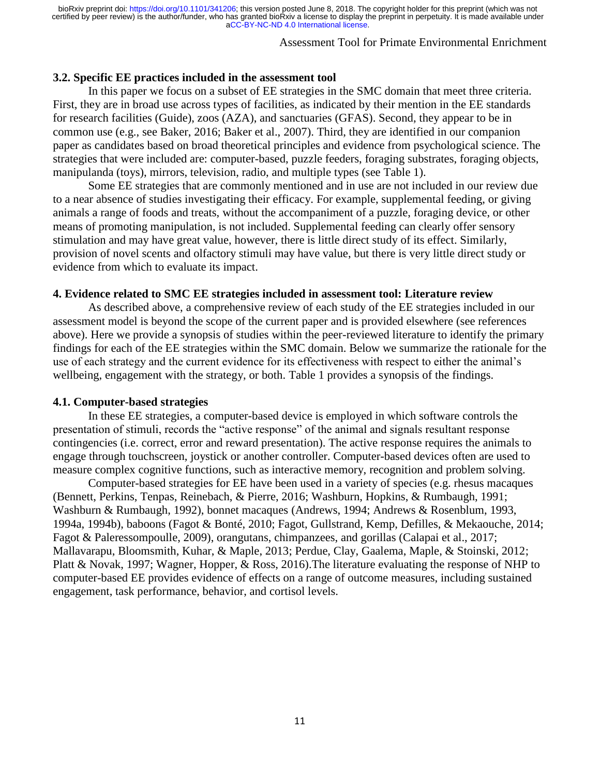# Assessment Tool for Primate Environmental Enrichment

### **3.2. Specific EE practices included in the assessment tool**

In this paper we focus on a subset of EE strategies in the SMC domain that meet three criteria. First, they are in broad use across types of facilities, as indicated by their mention in the EE standards for research facilities (Guide), zoos (AZA), and sanctuaries (GFAS). Second, they appear to be in common use (e.g., see Baker, 2016; Baker et al., 2007). Third, they are identified in our companion paper as candidates based on broad theoretical principles and evidence from psychological science. The strategies that were included are: computer-based, puzzle feeders, foraging substrates, foraging objects, manipulanda (toys), mirrors, television, radio, and multiple types (see Table 1).

Some EE strategies that are commonly mentioned and in use are not included in our review due to a near absence of studies investigating their efficacy. For example, supplemental feeding, or giving animals a range of foods and treats, without the accompaniment of a puzzle, foraging device, or other means of promoting manipulation, is not included. Supplemental feeding can clearly offer sensory stimulation and may have great value, however, there is little direct study of its effect. Similarly, provision of novel scents and olfactory stimuli may have value, but there is very little direct study or evidence from which to evaluate its impact.

#### **4. Evidence related to SMC EE strategies included in assessment tool: Literature review**

As described above, a comprehensive review of each study of the EE strategies included in our assessment model is beyond the scope of the current paper and is provided elsewhere (see references above). Here we provide a synopsis of studies within the peer-reviewed literature to identify the primary findings for each of the EE strategies within the SMC domain. Below we summarize the rationale for the use of each strategy and the current evidence for its effectiveness with respect to either the animal's wellbeing, engagement with the strategy, or both. Table 1 provides a synopsis of the findings.

#### **4.1. Computer-based strategies**

In these EE strategies, a computer-based device is employed in which software controls the presentation of stimuli, records the "active response" of the animal and signals resultant response contingencies (i.e. correct, error and reward presentation). The active response requires the animals to engage through touchscreen, joystick or another controller. Computer-based devices often are used to measure complex cognitive functions, such as interactive memory, recognition and problem solving.

Computer-based strategies for EE have been used in a variety of species (e.g. rhesus macaques (Bennett, Perkins, Tenpas, Reinebach, & Pierre, 2016; Washburn, Hopkins, & Rumbaugh, 1991; Washburn & Rumbaugh, 1992), bonnet macaques (Andrews, 1994; Andrews & Rosenblum, 1993, 1994a, 1994b), baboons (Fagot & Bonté, 2010; Fagot, Gullstrand, Kemp, Defilles, & Mekaouche, 2014; Fagot & Paleressompoulle, 2009), orangutans, chimpanzees, and gorillas (Calapai et al., 2017; Mallavarapu, Bloomsmith, Kuhar, & Maple, 2013; Perdue, Clay, Gaalema, Maple, & Stoinski, 2012; Platt & Novak, 1997; Wagner, Hopper, & Ross, 2016).The literature evaluating the response of NHP to computer-based EE provides evidence of effects on a range of outcome measures, including sustained engagement, task performance, behavior, and cortisol levels.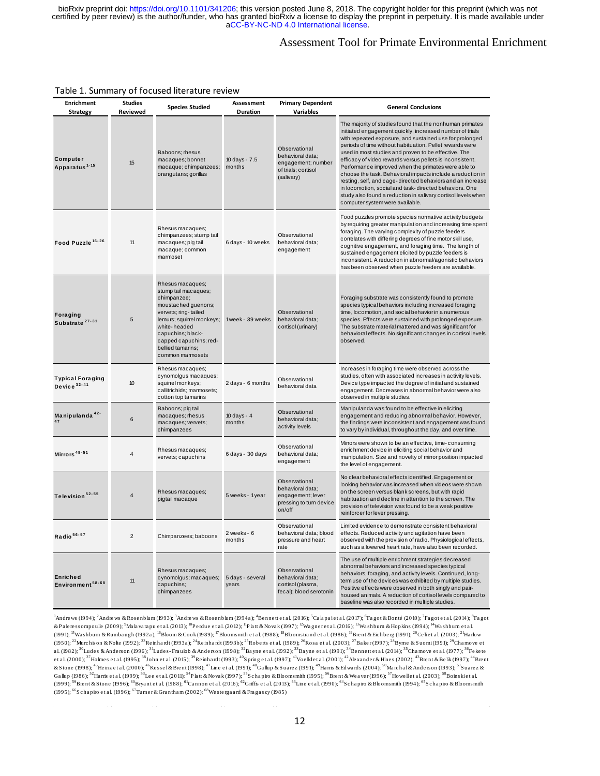# Assessment Tool for Primate Environmental Enrichment

#### Table 1. Summary of focused literature review

| <b>Enrichment</b><br><b>Strategy</b>        | <b>Studies</b><br>Reviewed | <b>Species Studied</b>                                                                                                                                                                                                                      | Assessment<br>Duration    | <b>Primary Dependent</b><br><b>Variables</b>                                                 | <b>General Conclusions</b>                                                                                                                                                                                                                                                                                                                                                                                                                                                                                                                                                                                                                                                                                        |
|---------------------------------------------|----------------------------|---------------------------------------------------------------------------------------------------------------------------------------------------------------------------------------------------------------------------------------------|---------------------------|----------------------------------------------------------------------------------------------|-------------------------------------------------------------------------------------------------------------------------------------------------------------------------------------------------------------------------------------------------------------------------------------------------------------------------------------------------------------------------------------------------------------------------------------------------------------------------------------------------------------------------------------------------------------------------------------------------------------------------------------------------------------------------------------------------------------------|
| Computer<br>Apparatus <sup>1-15</sup>       | 15                         | Baboons; rhesus<br>macaques; bonnet<br>macaque; chimpanzees;<br>orangutans; gorillas                                                                                                                                                        | 10 days - 7.5<br>months   | Observational<br>behavioral data;<br>engagement; number<br>of trials; cortisol<br>(salivary) | The majority of studies found that the nonhuman primates<br>initiated engagement quickly, increased number of trials<br>with repeated exposure, and sustained use for prolonged<br>periods of time without habituation. Pellet rewards were<br>used in most studies and proven to be effective. The<br>efficacy of video rewards versus pellets is inconsistent.<br>Performance improved when the primates were able to<br>choose the task. Behavioral impacts include a reduction in<br>resting, self, and cage-directed behaviors and an increase<br>in locomotion, social and task-directed behaviors. One<br>study also found a reduction in salivary cortisol levels when<br>computer system were available. |
| Food Puzzle <sup>16-26</sup>                | 11                         | Rhesus macaques;<br>chimpanzees; stump tail<br>macaques; pig tail<br>macaque; common<br>marmoset                                                                                                                                            | 6 days - 10 weeks         | Observational<br>behavioral data;<br>engagement                                              | Food puzzles promote species normative activity budgets<br>by requiring greater manipulation and increasing time spent<br>foraging. The varying complexity of puzzle feeders<br>correlates with differing degrees of fine motor skill use,<br>cognitive engagement, and foraging time. The length of<br>sustained engagement elicited by puzzle feeders is<br>inconsistent. A reduction in abnormal/agonistic behaviors<br>has been observed when puzzle feeders are available.                                                                                                                                                                                                                                   |
| Foraging<br>Substrate <sup>27-31</sup>      | 5                          | Rhesus macaques;<br>stump tail macaques;<br>chimpanzee;<br>moustached guenons;<br>vervets; ring-tailed<br>lemurs; squirrel monkeys;<br>white-headed<br>capuchins; black-<br>capped capuchins; red-<br>bellied tamarins;<br>common marmosets | 1week - 39 weeks          | Observational<br>behavioral data;<br>cortisol (urinary)                                      | Foraging substrate was consistently found to promote<br>species typical behaviors including increased foraging<br>time, locomotion, and social behavior in a numerous<br>species. Effects were sustained with prolonged exposure.<br>The substrate material mattered and was significant for<br>behavioral effects. No significant changes in cortisol levels<br>observed.                                                                                                                                                                                                                                                                                                                                        |
| <b>Typical Foraging</b><br>Device $32 - 41$ | 10                         | Rhesus macaques;<br>cynomolgus macaques;<br>squirrel monkeys;<br>callitrichids; marmosets;<br>cotton top tamarins                                                                                                                           | 2 days - 6 months         | Observational<br>behavioral data                                                             | Increases in foraging time were observed across the<br>studies, often with associated increases in activity levels.<br>Device type impacted the degree of initial and sustained<br>engagement. Decreases in abnormal behavior were also<br>observed in multiple studies.                                                                                                                                                                                                                                                                                                                                                                                                                                          |
| Manipulanda <sup>42-</sup>                  | 6                          | Baboons; pig tail<br>macaques; rhesus<br>macaques; vervets;<br>chimpanzees                                                                                                                                                                  | 10 days - 4<br>months     | Observational<br>behavioral data;<br>activity levels                                         | Manipulanda was found to be effective in eliciting<br>engagement and reducing abnormal behavior. However,<br>the findings were inconsistent and engagement was found<br>to vary by individual, throughout the day, and over time.                                                                                                                                                                                                                                                                                                                                                                                                                                                                                 |
| Mirrors <sup>48-51</sup>                    | $\overline{4}$             | Rhesus macaques;<br>vervets; capuchins                                                                                                                                                                                                      | 6 days - 30 days          | Observational<br>behavioral data;<br>engagement                                              | Mirrors were shown to be an effective, time-consuming<br>enrichment device in eliciting social behavior and<br>manipulation. Size and novelty of mirror position impacted<br>the level of engagement.                                                                                                                                                                                                                                                                                                                                                                                                                                                                                                             |
| Television <sup>52-55</sup>                 | 4                          | Rhesus macaques;<br>pigtail macaque                                                                                                                                                                                                         | 5 weeks - 1year           | Observational<br>behavioral data;<br>engagement; lever<br>pressing to turn device<br>on/off  | No clear behavioral effects identified. Engagement or<br>looking behavior was increased when videos were shown<br>on the screen versus blank screens, but with rapid<br>habituation and decline in attention to the screen. The<br>provision of television was found to be a weak positive<br>reinforcer for lever pressing.                                                                                                                                                                                                                                                                                                                                                                                      |
| Radio <sup>56-57</sup>                      |                            | Chimpanzees; baboons                                                                                                                                                                                                                        | 2 weeks - 6<br>months     | Observational<br>behavioral data; blood<br>pressure and heart<br>rate                        | Limited evidence to demonstrate consistent behavioral<br>effects. Reduced activity and agitation have been<br>observed with the provision of radio. Physiological effects,<br>such as a lowered heart rate, have also been recorded.                                                                                                                                                                                                                                                                                                                                                                                                                                                                              |
| Enriched<br>Environment <sup>58-68</sup>    | 11                         | Rhesus macaques;<br>cynomolgus; macaques;<br>capuchins;<br>chimpanzees                                                                                                                                                                      | 5 days - several<br>years | Observational<br>behavioral data;<br>cortisol (plasma,<br>fecal); blood serotonin            | The use of multiple enrichment strategies decreased<br>abnormal behaviors and increased species typical<br>behaviors, foraging, and activity levels. Continued, long-<br>term use of the devices was exhibited by multiple studies.<br>Positive effects were observed in both singly and pair-<br>housed animals. A reduction of cortisol levels compared to<br>baseline was also recorded in multiple studies.                                                                                                                                                                                                                                                                                                   |
|                                             |                            |                                                                                                                                                                                                                                             |                           |                                                                                              | $^1$ Andrews (1994); $^2$ Andrews & Rosenblum (1993); $^3$ Andrews & Rosenblum (1994a); $^4$ Bennett et al. (2016); $^5$ Calapaiet al. (2017); $^6$ Fagot & Bonté (2010); $^7$ Fagot et al. (2014); $^8$ Fagot<br>& Palamescompoulle (2009) Malaysmu at al. (2013) <sup>, 10</sup> Pardua at al. (2012) <sup>, 11</sup> Platt & Novak (1997) <sup>, 12</sup> Wagnerat al. (2016) <sup>, 13</sup> Washburn & Hopkins (1994) <sup>, 14</sup> Washburn at al.                                                                                                                                                                                                                                                        |

baseline was also recorded in multiple studies.<br>& Pak ressompoulle (2009); <sup>9</sup>Ma la vara pu et al. (2013); <sup>10</sup>P erdue et al. (2012); <sup>11</sup>P la tt & Novak (1997); <sup>12</sup>Wagne r et al. (2012); <sup>10</sup>Washburn & Hopkins (1994); <sup>1</sup> <sup>1</sup>Andrews (1994); <sup>2</sup>Andrews & Rosenblum (1993); <sup>3</sup>Andrews & Rosenblum (1994a); <sup>4</sup>Bennett et al. (2016); <sup>5</sup>Calapaiet al. (2017); <sup>6</sup>Fagot & Bonté (2010); <sup>7</sup>Fagot et al. (2014); <sup>8</sup>Fagot & Bonté (2019); <sup>9</sup>Alayanapu et (1991); <sup>15</sup>Washbum & Rumbaugh (1992a); <sup>16</sup>Bloom & Cook (1989); <sup>17</sup>Bloomsmith et al. (1988); <sup>28</sup>Bomstrand et al. (1986); <sup>19</sup>Brent & Eichberg (1991); <sup>20</sup>Celet al. (2003); <sup>21</sup>Harlow<br>(1950); <sup>22</sup>Murchison & Nolte (1992 & Paleressompoulle (2009); <sup>3</sup>Mala varapu et al. (2013); <sup>10</sup>Perdue et al. (2012); <sup>11</sup>Platt & Novak (1997); <sup>12</sup>Wagner et al. (2016); <sup>13</sup>Washbum & Hopkins (1994); <sup>14</sup>Washbum et al.<br>(1991); <sup>15</sup>Washbum & Rumbaugh (1992a) (1991); <sup>15</sup>Washbum &Rumbaugh (1992a); <sup>16</sup>Bloom &Cook (1989); <sup>17</sup>Bloomsmin et al. (1988); <sup>18</sup>Bloomstrand et al. (1986); <sup>37</sup>Baker (1997); <sup>27</sup>Ee ht atl. (2003); <sup>27</sup>Holme s expedited al. (2003); <sup>27</sup>Holme s et al. (1992 (1950); <sup>42</sup>Murchison & Nolte (1992); <sup>43</sup>Reinhardt (1993a); <sup>43</sup>Reinhardt (1993b); <sup>42</sup>Roberts et al. (1993); <sup>43</sup>Rosa et al. (2003); <sup>42</sup>Baker (1997); <sup>43</sup>Byme & Suomi (1991); <sup>39</sup>Chamove et al. (1977); <sup>36</sup>Fekete<br>al. (1 al. (1982); <sup>30</sup>Ludes & Anderson (1996); <sup>31</sup>Ludes-Fraubb & Anderson (1998); <sup>32</sup>Bayne et al. (1992); <sup>33</sup>Bayne et al. (1991); <sup>34</sup>Bennett et al. (2014); <sup>35</sup>Chamove et al. (1977); <sup>36</sup>Fek<br>et al. (2000); <sup>37</sup>Holmes et al. et al. (2000); <sup>5/</sup>Holmes et al. (1995); <sup>53</sup>John et al. (2015); <sup>53</sup>Reinhardt (1993); <sup>40</sup>Spring et al. (1997); <sup>41</sup>Voe klet al. (2001); <sup>42</sup>Aexander & Hines (2002); <sup>43</sup>Brent & Belik (1997); <sup>43</sup>Brent & Belik (1997); <sup>43</sup> & Stone (1998); <sup>43</sup>He inzet al. (2000); <sup>46</sup>Kessel& Brent (1998); <sup>47</sup>Line et al. (199); <sup>48</sup>Gallup & Su<br>Gallup (1986); <sup>52</sup>Harris et al. (1999); <sup>53</sup>Lee et al. (2011); <sup>54</sup>Platt & Novak (1997); <sup>55</sup>Schapiro & Bloc<br>(1999)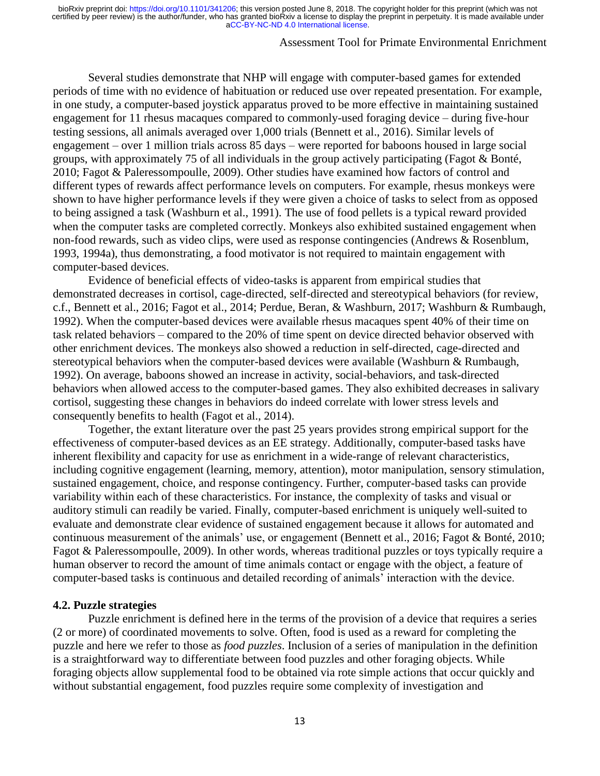# Assessment Tool for Primate Environmental Enrichment

Several studies demonstrate that NHP will engage with computer-based games for extended periods of time with no evidence of habituation or reduced use over repeated presentation. For example, in one study, a computer-based joystick apparatus proved to be more effective in maintaining sustained engagement for 11 rhesus macaques compared to commonly-used foraging device – during five-hour testing sessions, all animals averaged over 1,000 trials (Bennett et al., 2016). Similar levels of engagement – over 1 million trials across 85 days – were reported for baboons housed in large social groups, with approximately 75 of all individuals in the group actively participating (Fagot & Bonté, 2010; Fagot & Paleressompoulle, 2009). Other studies have examined how factors of control and different types of rewards affect performance levels on computers. For example, rhesus monkeys were shown to have higher performance levels if they were given a choice of tasks to select from as opposed to being assigned a task (Washburn et al., 1991). The use of food pellets is a typical reward provided when the computer tasks are completed correctly. Monkeys also exhibited sustained engagement when non-food rewards, such as video clips, were used as response contingencies (Andrews & Rosenblum, 1993, 1994a), thus demonstrating, a food motivator is not required to maintain engagement with computer-based devices.

Evidence of beneficial effects of video-tasks is apparent from empirical studies that demonstrated decreases in cortisol, cage-directed, self-directed and stereotypical behaviors (for review, c.f., Bennett et al., 2016; Fagot et al., 2014; Perdue, Beran, & Washburn, 2017; Washburn & Rumbaugh, 1992). When the computer-based devices were available rhesus macaques spent 40% of their time on task related behaviors – compared to the 20% of time spent on device directed behavior observed with other enrichment devices. The monkeys also showed a reduction in self-directed, cage-directed and stereotypical behaviors when the computer-based devices were available (Washburn & Rumbaugh, 1992). On average, baboons showed an increase in activity, social-behaviors, and task-directed behaviors when allowed access to the computer-based games. They also exhibited decreases in salivary cortisol, suggesting these changes in behaviors do indeed correlate with lower stress levels and consequently benefits to health (Fagot et al., 2014).

Together, the extant literature over the past 25 years provides strong empirical support for the effectiveness of computer-based devices as an EE strategy. Additionally, computer-based tasks have inherent flexibility and capacity for use as enrichment in a wide-range of relevant characteristics, including cognitive engagement (learning, memory, attention), motor manipulation, sensory stimulation, sustained engagement, choice, and response contingency. Further, computer-based tasks can provide variability within each of these characteristics. For instance, the complexity of tasks and visual or auditory stimuli can readily be varied. Finally, computer-based enrichment is uniquely well-suited to evaluate and demonstrate clear evidence of sustained engagement because it allows for automated and continuous measurement of the animals' use, or engagement (Bennett et al., 2016; Fagot & Bonté, 2010; Fagot & Paleressompoulle, 2009). In other words, whereas traditional puzzles or toys typically require a human observer to record the amount of time animals contact or engage with the object, a feature of computer-based tasks is continuous and detailed recording of animals' interaction with the device.

#### **4.2. Puzzle strategies**

Puzzle enrichment is defined here in the terms of the provision of a device that requires a series (2 or more) of coordinated movements to solve. Often, food is used as a reward for completing the puzzle and here we refer to those as *food puzzles*. Inclusion of a series of manipulation in the definition is a straightforward way to differentiate between food puzzles and other foraging objects. While foraging objects allow supplemental food to be obtained via rote simple actions that occur quickly and without substantial engagement, food puzzles require some complexity of investigation and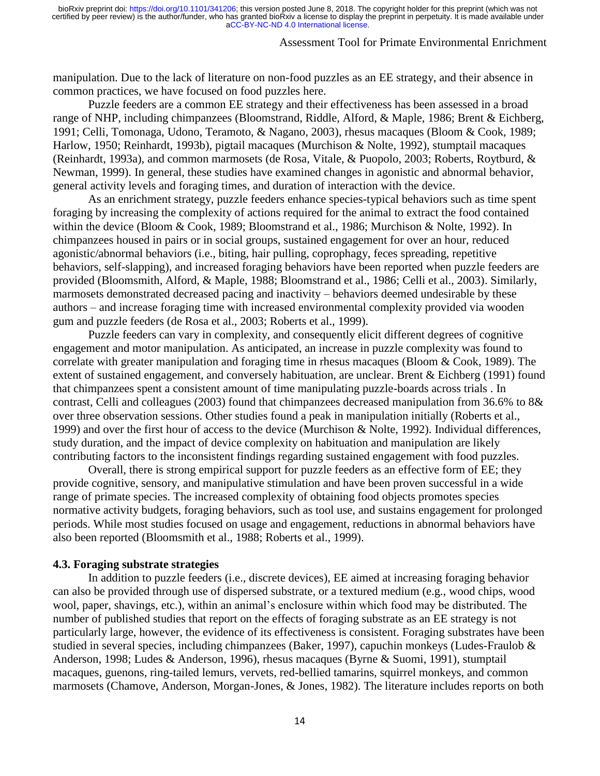### Assessment Tool for Primate Environmental Enrichment

manipulation. Due to the lack of literature on non-food puzzles as an EE strategy, and their absence in common practices, we have focused on food puzzles here.

Puzzle feeders are a common EE strategy and their effectiveness has been assessed in a broad range of NHP, including chimpanzees (Bloomstrand, Riddle, Alford, & Maple, 1986; Brent & Eichberg, 1991; Celli, Tomonaga, Udono, Teramoto, & Nagano, 2003), rhesus macaques (Bloom & Cook, 1989; Harlow, 1950; Reinhardt, 1993b), pigtail macaques (Murchison & Nolte, 1992), stumptail macaques (Reinhardt, 1993a), and common marmosets (de Rosa, Vitale, & Puopolo, 2003; Roberts, Roytburd, & Newman, 1999). In general, these studies have examined changes in agonistic and abnormal behavior, general activity levels and foraging times, and duration of interaction with the device.

As an enrichment strategy, puzzle feeders enhance species-typical behaviors such as time spent foraging by increasing the complexity of actions required for the animal to extract the food contained within the device (Bloom & Cook, 1989; Bloomstrand et al., 1986; Murchison & Nolte, 1992). In chimpanzees housed in pairs or in social groups, sustained engagement for over an hour, reduced agonistic/abnormal behaviors (i.e., biting, hair pulling, coprophagy, feces spreading, repetitive behaviors, self-slapping), and increased foraging behaviors have been reported when puzzle feeders are provided (Bloomsmith, Alford, & Maple, 1988; Bloomstrand et al., 1986; Celli et al., 2003). Similarly, marmosets demonstrated decreased pacing and inactivity – behaviors deemed undesirable by these authors – and increase foraging time with increased environmental complexity provided via wooden gum and puzzle feeders (de Rosa et al., 2003; Roberts et al., 1999).

Puzzle feeders can vary in complexity, and consequently elicit different degrees of cognitive engagement and motor manipulation. As anticipated, an increase in puzzle complexity was found to correlate with greater manipulation and foraging time in rhesus macaques (Bloom & Cook, 1989). The extent of sustained engagement, and conversely habituation, are unclear. Brent & Eichberg (1991) found that chimpanzees spent a consistent amount of time manipulating puzzle-boards across trials . In contrast, Celli and colleagues (2003) found that chimpanzees decreased manipulation from 36.6% to 8& over three observation sessions. Other studies found a peak in manipulation initially (Roberts et al., 1999) and over the first hour of access to the device (Murchison & Nolte, 1992). Individual differences, study duration, and the impact of device complexity on habituation and manipulation are likely contributing factors to the inconsistent findings regarding sustained engagement with food puzzles.

Overall, there is strong empirical support for puzzle feeders as an effective form of EE; they provide cognitive, sensory, and manipulative stimulation and have been proven successful in a wide range of primate species. The increased complexity of obtaining food objects promotes species normative activity budgets, foraging behaviors, such as tool use, and sustains engagement for prolonged periods. While most studies focused on usage and engagement, reductions in abnormal behaviors have also been reported (Bloomsmith et al., 1988; Roberts et al., 1999).

#### **4.3. Foraging substrate strategies**

In addition to puzzle feeders (i.e., discrete devices), EE aimed at increasing foraging behavior can also be provided through use of dispersed substrate, or a textured medium (e.g., wood chips, wood wool, paper, shavings, etc.), within an animal's enclosure within which food may be distributed. The number of published studies that report on the effects of foraging substrate as an EE strategy is not particularly large, however, the evidence of its effectiveness is consistent. Foraging substrates have been studied in several species, including chimpanzees (Baker, 1997), capuchin monkeys (Ludes-Fraulob & Anderson, 1998; Ludes & Anderson, 1996), rhesus macaques (Byrne & Suomi, 1991), stumptail macaques, guenons, ring-tailed lemurs, vervets, red-bellied tamarins, squirrel monkeys, and common marmosets (Chamove, Anderson, Morgan-Jones, & Jones, 1982). The literature includes reports on both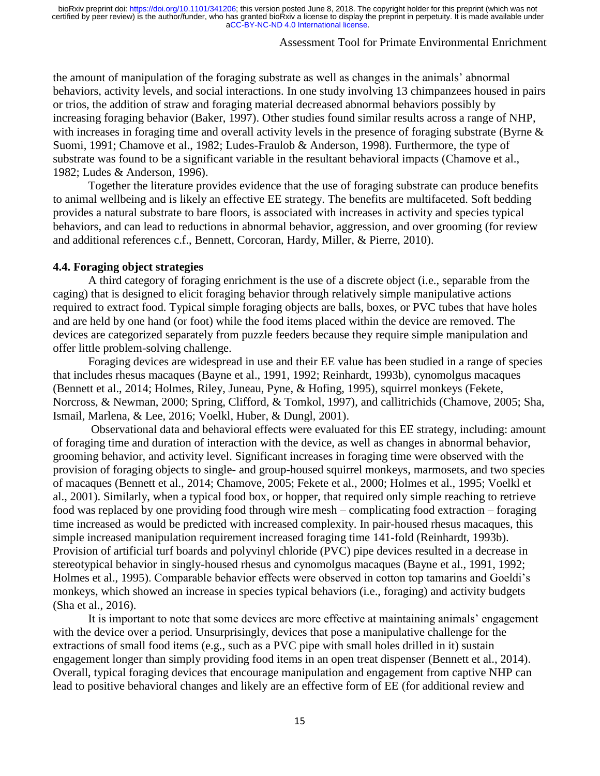# Assessment Tool for Primate Environmental Enrichment

the amount of manipulation of the foraging substrate as well as changes in the animals' abnormal behaviors, activity levels, and social interactions. In one study involving 13 chimpanzees housed in pairs or trios, the addition of straw and foraging material decreased abnormal behaviors possibly by increasing foraging behavior (Baker, 1997). Other studies found similar results across a range of NHP, with increases in foraging time and overall activity levels in the presence of foraging substrate (Byrne & Suomi, 1991; Chamove et al., 1982; Ludes-Fraulob & Anderson, 1998). Furthermore, the type of substrate was found to be a significant variable in the resultant behavioral impacts (Chamove et al., 1982; Ludes & Anderson, 1996).

Together the literature provides evidence that the use of foraging substrate can produce benefits to animal wellbeing and is likely an effective EE strategy. The benefits are multifaceted. Soft bedding provides a natural substrate to bare floors, is associated with increases in activity and species typical behaviors, and can lead to reductions in abnormal behavior, aggression, and over grooming (for review and additional references c.f., Bennett, Corcoran, Hardy, Miller, & Pierre, 2010).

#### **4.4. Foraging object strategies**

A third category of foraging enrichment is the use of a discrete object (i.e., separable from the caging) that is designed to elicit foraging behavior through relatively simple manipulative actions required to extract food. Typical simple foraging objects are balls, boxes, or PVC tubes that have holes and are held by one hand (or foot) while the food items placed within the device are removed. The devices are categorized separately from puzzle feeders because they require simple manipulation and offer little problem-solving challenge.

Foraging devices are widespread in use and their EE value has been studied in a range of species that includes rhesus macaques (Bayne et al., 1991, 1992; Reinhardt, 1993b), cynomolgus macaques (Bennett et al., 2014; Holmes, Riley, Juneau, Pyne, & Hofing, 1995), squirrel monkeys (Fekete, Norcross, & Newman, 2000; Spring, Clifford, & Tomkol, 1997), and callitrichids (Chamove, 2005; Sha, Ismail, Marlena, & Lee, 2016; Voelkl, Huber, & Dungl, 2001).

Observational data and behavioral effects were evaluated for this EE strategy, including: amount of foraging time and duration of interaction with the device, as well as changes in abnormal behavior, grooming behavior, and activity level. Significant increases in foraging time were observed with the provision of foraging objects to single- and group-housed squirrel monkeys, marmosets, and two species of macaques (Bennett et al., 2014; Chamove, 2005; Fekete et al., 2000; Holmes et al., 1995; Voelkl et al., 2001). Similarly, when a typical food box, or hopper, that required only simple reaching to retrieve food was replaced by one providing food through wire mesh – complicating food extraction – foraging time increased as would be predicted with increased complexity. In pair-housed rhesus macaques, this simple increased manipulation requirement increased foraging time 141-fold (Reinhardt, 1993b). Provision of artificial turf boards and polyvinyl chloride (PVC) pipe devices resulted in a decrease in stereotypical behavior in singly-housed rhesus and cynomolgus macaques (Bayne et al., 1991, 1992; Holmes et al., 1995). Comparable behavior effects were observed in cotton top tamarins and Goeldi's monkeys, which showed an increase in species typical behaviors (i.e., foraging) and activity budgets (Sha et al., 2016).

It is important to note that some devices are more effective at maintaining animals' engagement with the device over a period. Unsurprisingly, devices that pose a manipulative challenge for the extractions of small food items (e.g., such as a PVC pipe with small holes drilled in it) sustain engagement longer than simply providing food items in an open treat dispenser (Bennett et al., 2014). Overall, typical foraging devices that encourage manipulation and engagement from captive NHP can lead to positive behavioral changes and likely are an effective form of EE (for additional review and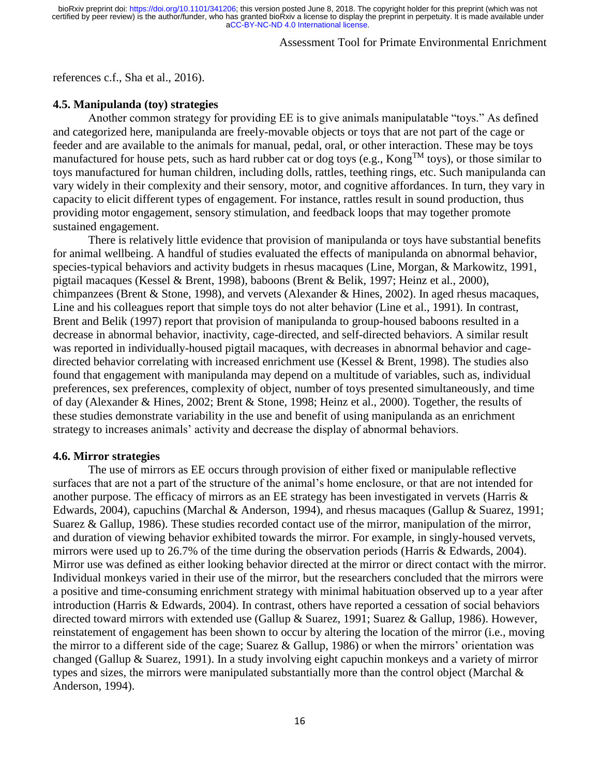# Assessment Tool for Primate Environmental Enrichment

references c.f., Sha et al., 2016).

### **4.5. Manipulanda (toy) strategies**

Another common strategy for providing EE is to give animals manipulatable "toys." As defined and categorized here, manipulanda are freely-movable objects or toys that are not part of the cage or feeder and are available to the animals for manual, pedal, oral, or other interaction. These may be toys manufactured for house pets, such as hard rubber cat or dog toys (e.g.,  $\text{Kong}^{\text{TM}}$  toys), or those similar to toys manufactured for human children, including dolls, rattles, teething rings, etc. Such manipulanda can vary widely in their complexity and their sensory, motor, and cognitive affordances. In turn, they vary in capacity to elicit different types of engagement. For instance, rattles result in sound production, thus providing motor engagement, sensory stimulation, and feedback loops that may together promote sustained engagement.

There is relatively little evidence that provision of manipulanda or toys have substantial benefits for animal wellbeing. A handful of studies evaluated the effects of manipulanda on abnormal behavior, species-typical behaviors and activity budgets in rhesus macaques (Line, Morgan, & Markowitz, 1991, pigtail macaques (Kessel & Brent, 1998), baboons (Brent & Belik, 1997; Heinz et al., 2000), chimpanzees (Brent & Stone, 1998), and vervets (Alexander & Hines, 2002). In aged rhesus macaques, Line and his colleagues report that simple toys do not alter behavior (Line et al., 1991). In contrast, Brent and Belik (1997) report that provision of manipulanda to group-housed baboons resulted in a decrease in abnormal behavior, inactivity, cage-directed, and self-directed behaviors. A similar result was reported in individually-housed pigtail macaques, with decreases in abnormal behavior and cagedirected behavior correlating with increased enrichment use (Kessel & Brent, 1998). The studies also found that engagement with manipulanda may depend on a multitude of variables, such as, individual preferences, sex preferences, complexity of object, number of toys presented simultaneously, and time of day (Alexander & Hines, 2002; Brent & Stone, 1998; Heinz et al., 2000). Together, the results of these studies demonstrate variability in the use and benefit of using manipulanda as an enrichment strategy to increases animals' activity and decrease the display of abnormal behaviors.

# **4.6. Mirror strategies**

The use of mirrors as EE occurs through provision of either fixed or manipulable reflective surfaces that are not a part of the structure of the animal's home enclosure, or that are not intended for another purpose. The efficacy of mirrors as an EE strategy has been investigated in vervets (Harris & Edwards, 2004), capuchins (Marchal & Anderson, 1994), and rhesus macaques (Gallup & Suarez, 1991; Suarez & Gallup, 1986). These studies recorded contact use of the mirror, manipulation of the mirror, and duration of viewing behavior exhibited towards the mirror. For example, in singly-housed vervets, mirrors were used up to 26.7% of the time during the observation periods (Harris & Edwards, 2004). Mirror use was defined as either looking behavior directed at the mirror or direct contact with the mirror. Individual monkeys varied in their use of the mirror, but the researchers concluded that the mirrors were a positive and time-consuming enrichment strategy with minimal habituation observed up to a year after introduction (Harris & Edwards, 2004). In contrast, others have reported a cessation of social behaviors directed toward mirrors with extended use (Gallup & Suarez, 1991; Suarez & Gallup, 1986). However, reinstatement of engagement has been shown to occur by altering the location of the mirror (i.e., moving the mirror to a different side of the cage; Suarez & Gallup, 1986) or when the mirrors' orientation was changed (Gallup & Suarez, 1991). In a study involving eight capuchin monkeys and a variety of mirror types and sizes, the mirrors were manipulated substantially more than the control object (Marchal & Anderson, 1994).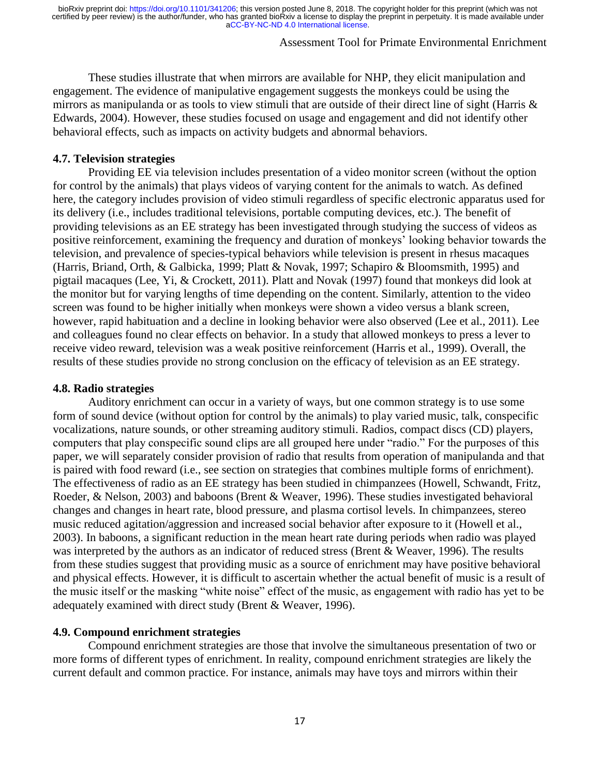# Assessment Tool for Primate Environmental Enrichment

These studies illustrate that when mirrors are available for NHP, they elicit manipulation and engagement. The evidence of manipulative engagement suggests the monkeys could be using the mirrors as manipulanda or as tools to view stimuli that are outside of their direct line of sight (Harris & Edwards, 2004). However, these studies focused on usage and engagement and did not identify other behavioral effects, such as impacts on activity budgets and abnormal behaviors.

### **4.7. Television strategies**

Providing EE via television includes presentation of a video monitor screen (without the option for control by the animals) that plays videos of varying content for the animals to watch. As defined here, the category includes provision of video stimuli regardless of specific electronic apparatus used for its delivery (i.e., includes traditional televisions, portable computing devices, etc.). The benefit of providing televisions as an EE strategy has been investigated through studying the success of videos as positive reinforcement, examining the frequency and duration of monkeys' looking behavior towards the television, and prevalence of species-typical behaviors while television is present in rhesus macaques (Harris, Briand, Orth, & Galbicka, 1999; Platt & Novak, 1997; Schapiro & Bloomsmith, 1995) and pigtail macaques (Lee, Yi, & Crockett, 2011). Platt and Novak (1997) found that monkeys did look at the monitor but for varying lengths of time depending on the content. Similarly, attention to the video screen was found to be higher initially when monkeys were shown a video versus a blank screen, however, rapid habituation and a decline in looking behavior were also observed (Lee et al., 2011). Lee and colleagues found no clear effects on behavior. In a study that allowed monkeys to press a lever to receive video reward, television was a weak positive reinforcement (Harris et al., 1999). Overall, the results of these studies provide no strong conclusion on the efficacy of television as an EE strategy.

#### **4.8. Radio strategies**

Auditory enrichment can occur in a variety of ways, but one common strategy is to use some form of sound device (without option for control by the animals) to play varied music, talk, conspecific vocalizations, nature sounds, or other streaming auditory stimuli. Radios, compact discs (CD) players, computers that play conspecific sound clips are all grouped here under "radio." For the purposes of this paper, we will separately consider provision of radio that results from operation of manipulanda and that is paired with food reward (i.e., see section on strategies that combines multiple forms of enrichment). The effectiveness of radio as an EE strategy has been studied in chimpanzees (Howell, Schwandt, Fritz, Roeder, & Nelson, 2003) and baboons (Brent & Weaver, 1996). These studies investigated behavioral changes and changes in heart rate, blood pressure, and plasma cortisol levels. In chimpanzees, stereo music reduced agitation/aggression and increased social behavior after exposure to it (Howell et al., 2003). In baboons, a significant reduction in the mean heart rate during periods when radio was played was interpreted by the authors as an indicator of reduced stress (Brent & Weaver, 1996). The results from these studies suggest that providing music as a source of enrichment may have positive behavioral and physical effects. However, it is difficult to ascertain whether the actual benefit of music is a result of the music itself or the masking "white noise" effect of the music, as engagement with radio has yet to be adequately examined with direct study (Brent & Weaver, 1996).

### **4.9. Compound enrichment strategies**

Compound enrichment strategies are those that involve the simultaneous presentation of two or more forms of different types of enrichment. In reality, compound enrichment strategies are likely the current default and common practice. For instance, animals may have toys and mirrors within their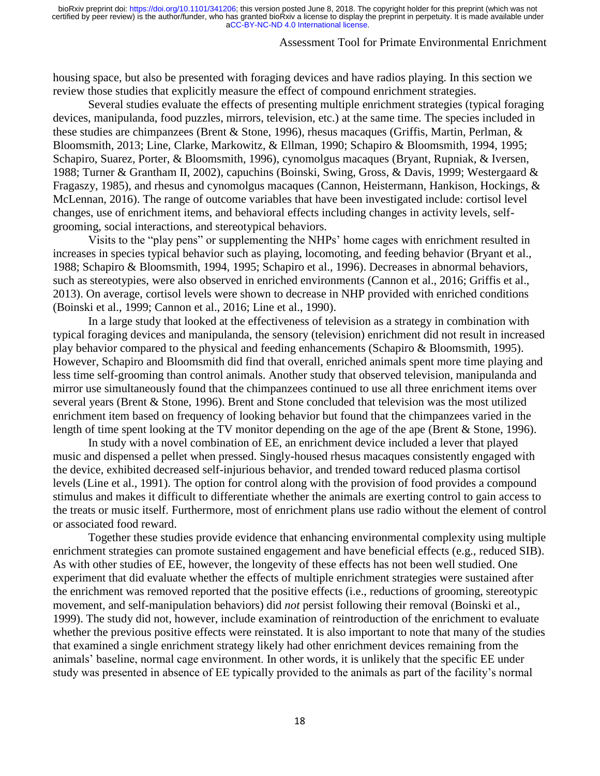### Assessment Tool for Primate Environmental Enrichment

housing space, but also be presented with foraging devices and have radios playing. In this section we review those studies that explicitly measure the effect of compound enrichment strategies.

Several studies evaluate the effects of presenting multiple enrichment strategies (typical foraging devices, manipulanda, food puzzles, mirrors, television, etc.) at the same time. The species included in these studies are chimpanzees (Brent & Stone, 1996), rhesus macaques (Griffis, Martin, Perlman, & Bloomsmith, 2013; Line, Clarke, Markowitz, & Ellman, 1990; Schapiro & Bloomsmith, 1994, 1995; Schapiro, Suarez, Porter, & Bloomsmith, 1996), cynomolgus macaques (Bryant, Rupniak, & Iversen, 1988; Turner & Grantham II, 2002), capuchins (Boinski, Swing, Gross, & Davis, 1999; Westergaard & Fragaszy, 1985), and rhesus and cynomolgus macaques (Cannon, Heistermann, Hankison, Hockings, & McLennan, 2016). The range of outcome variables that have been investigated include: cortisol level changes, use of enrichment items, and behavioral effects including changes in activity levels, selfgrooming, social interactions, and stereotypical behaviors.

Visits to the "play pens" or supplementing the NHPs' home cages with enrichment resulted in increases in species typical behavior such as playing, locomoting, and feeding behavior (Bryant et al., 1988; Schapiro & Bloomsmith, 1994, 1995; Schapiro et al., 1996). Decreases in abnormal behaviors, such as stereotypies, were also observed in enriched environments (Cannon et al., 2016; Griffis et al., 2013). On average, cortisol levels were shown to decrease in NHP provided with enriched conditions (Boinski et al., 1999; Cannon et al., 2016; Line et al., 1990).

In a large study that looked at the effectiveness of television as a strategy in combination with typical foraging devices and manipulanda, the sensory (television) enrichment did not result in increased play behavior compared to the physical and feeding enhancements (Schapiro & Bloomsmith, 1995). However, Schapiro and Bloomsmith did find that overall, enriched animals spent more time playing and less time self-grooming than control animals. Another study that observed television, manipulanda and mirror use simultaneously found that the chimpanzees continued to use all three enrichment items over several years (Brent & Stone, 1996). Brent and Stone concluded that television was the most utilized enrichment item based on frequency of looking behavior but found that the chimpanzees varied in the length of time spent looking at the TV monitor depending on the age of the ape (Brent & Stone, 1996).

In study with a novel combination of EE, an enrichment device included a lever that played music and dispensed a pellet when pressed. Singly-housed rhesus macaques consistently engaged with the device, exhibited decreased self-injurious behavior, and trended toward reduced plasma cortisol levels (Line et al., 1991). The option for control along with the provision of food provides a compound stimulus and makes it difficult to differentiate whether the animals are exerting control to gain access to the treats or music itself. Furthermore, most of enrichment plans use radio without the element of control or associated food reward.

Together these studies provide evidence that enhancing environmental complexity using multiple enrichment strategies can promote sustained engagement and have beneficial effects (e.g., reduced SIB). As with other studies of EE, however, the longevity of these effects has not been well studied. One experiment that did evaluate whether the effects of multiple enrichment strategies were sustained after the enrichment was removed reported that the positive effects (i.e., reductions of grooming, stereotypic movement, and self-manipulation behaviors) did *not* persist following their removal (Boinski et al., 1999). The study did not, however, include examination of reintroduction of the enrichment to evaluate whether the previous positive effects were reinstated. It is also important to note that many of the studies that examined a single enrichment strategy likely had other enrichment devices remaining from the animals' baseline, normal cage environment. In other words, it is unlikely that the specific EE under study was presented in absence of EE typically provided to the animals as part of the facility's normal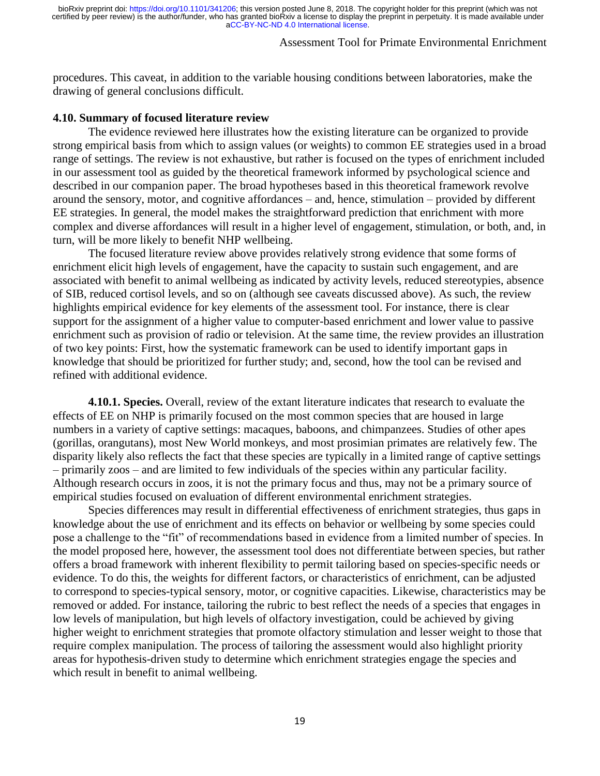# Assessment Tool for Primate Environmental Enrichment

procedures. This caveat, in addition to the variable housing conditions between laboratories, make the drawing of general conclusions difficult.

#### **4.10. Summary of focused literature review**

The evidence reviewed here illustrates how the existing literature can be organized to provide strong empirical basis from which to assign values (or weights) to common EE strategies used in a broad range of settings. The review is not exhaustive, but rather is focused on the types of enrichment included in our assessment tool as guided by the theoretical framework informed by psychological science and described in our companion paper. The broad hypotheses based in this theoretical framework revolve around the sensory, motor, and cognitive affordances – and, hence, stimulation – provided by different EE strategies. In general, the model makes the straightforward prediction that enrichment with more complex and diverse affordances will result in a higher level of engagement, stimulation, or both, and, in turn, will be more likely to benefit NHP wellbeing.

The focused literature review above provides relatively strong evidence that some forms of enrichment elicit high levels of engagement, have the capacity to sustain such engagement, and are associated with benefit to animal wellbeing as indicated by activity levels, reduced stereotypies, absence of SIB, reduced cortisol levels, and so on (although see caveats discussed above). As such, the review highlights empirical evidence for key elements of the assessment tool. For instance, there is clear support for the assignment of a higher value to computer-based enrichment and lower value to passive enrichment such as provision of radio or television. At the same time, the review provides an illustration of two key points: First, how the systematic framework can be used to identify important gaps in knowledge that should be prioritized for further study; and, second, how the tool can be revised and refined with additional evidence.

**4.10.1. Species.** Overall, review of the extant literature indicates that research to evaluate the effects of EE on NHP is primarily focused on the most common species that are housed in large numbers in a variety of captive settings: macaques, baboons, and chimpanzees. Studies of other apes (gorillas, orangutans), most New World monkeys, and most prosimian primates are relatively few. The disparity likely also reflects the fact that these species are typically in a limited range of captive settings – primarily zoos – and are limited to few individuals of the species within any particular facility. Although research occurs in zoos, it is not the primary focus and thus, may not be a primary source of empirical studies focused on evaluation of different environmental enrichment strategies.

Species differences may result in differential effectiveness of enrichment strategies, thus gaps in knowledge about the use of enrichment and its effects on behavior or wellbeing by some species could pose a challenge to the "fit" of recommendations based in evidence from a limited number of species. In the model proposed here, however, the assessment tool does not differentiate between species, but rather offers a broad framework with inherent flexibility to permit tailoring based on species-specific needs or evidence. To do this, the weights for different factors, or characteristics of enrichment, can be adjusted to correspond to species-typical sensory, motor, or cognitive capacities. Likewise, characteristics may be removed or added. For instance, tailoring the rubric to best reflect the needs of a species that engages in low levels of manipulation, but high levels of olfactory investigation, could be achieved by giving higher weight to enrichment strategies that promote olfactory stimulation and lesser weight to those that require complex manipulation. The process of tailoring the assessment would also highlight priority areas for hypothesis-driven study to determine which enrichment strategies engage the species and which result in benefit to animal wellbeing.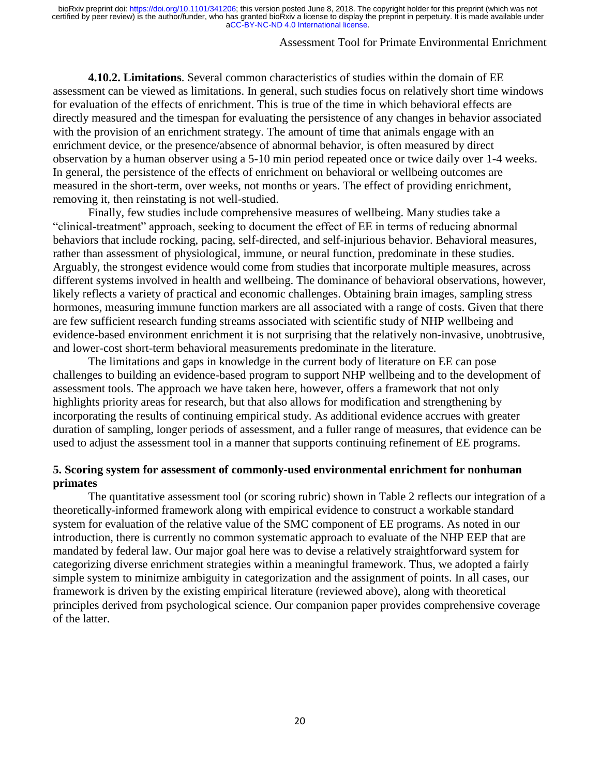# Assessment Tool for Primate Environmental Enrichment

**4.10.2. Limitations**. Several common characteristics of studies within the domain of EE assessment can be viewed as limitations. In general, such studies focus on relatively short time windows for evaluation of the effects of enrichment. This is true of the time in which behavioral effects are directly measured and the timespan for evaluating the persistence of any changes in behavior associated with the provision of an enrichment strategy. The amount of time that animals engage with an enrichment device, or the presence/absence of abnormal behavior, is often measured by direct observation by a human observer using a 5-10 min period repeated once or twice daily over 1-4 weeks. In general, the persistence of the effects of enrichment on behavioral or wellbeing outcomes are measured in the short-term, over weeks, not months or years. The effect of providing enrichment, removing it, then reinstating is not well-studied.

Finally, few studies include comprehensive measures of wellbeing. Many studies take a "clinical-treatment" approach, seeking to document the effect of EE in terms of reducing abnormal behaviors that include rocking, pacing, self-directed, and self-injurious behavior. Behavioral measures, rather than assessment of physiological, immune, or neural function, predominate in these studies. Arguably, the strongest evidence would come from studies that incorporate multiple measures, across different systems involved in health and wellbeing. The dominance of behavioral observations, however, likely reflects a variety of practical and economic challenges. Obtaining brain images, sampling stress hormones, measuring immune function markers are all associated with a range of costs. Given that there are few sufficient research funding streams associated with scientific study of NHP wellbeing and evidence-based environment enrichment it is not surprising that the relatively non-invasive, unobtrusive, and lower-cost short-term behavioral measurements predominate in the literature.

The limitations and gaps in knowledge in the current body of literature on EE can pose challenges to building an evidence-based program to support NHP wellbeing and to the development of assessment tools. The approach we have taken here, however, offers a framework that not only highlights priority areas for research, but that also allows for modification and strengthening by incorporating the results of continuing empirical study. As additional evidence accrues with greater duration of sampling, longer periods of assessment, and a fuller range of measures, that evidence can be used to adjust the assessment tool in a manner that supports continuing refinement of EE programs.

# **5. Scoring system for assessment of commonly-used environmental enrichment for nonhuman primates**

The quantitative assessment tool (or scoring rubric) shown in Table 2 reflects our integration of a theoretically-informed framework along with empirical evidence to construct a workable standard system for evaluation of the relative value of the SMC component of EE programs. As noted in our introduction, there is currently no common systematic approach to evaluate of the NHP EEP that are mandated by federal law. Our major goal here was to devise a relatively straightforward system for categorizing diverse enrichment strategies within a meaningful framework. Thus, we adopted a fairly simple system to minimize ambiguity in categorization and the assignment of points. In all cases, our framework is driven by the existing empirical literature (reviewed above), along with theoretical principles derived from psychological science. Our companion paper provides comprehensive coverage of the latter.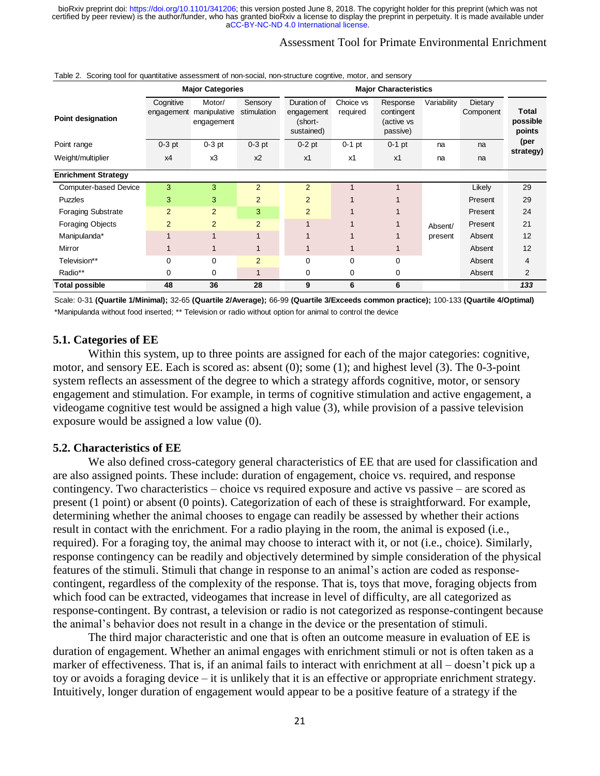# Assessment Tool for Primate Environmental Enrichment

|                              | <b>Major Categories</b> |                                      |                        |                                                    | Table 2. Scoring tool for quantitative assessment of non-social, non-structure cognitive, motor, and sensory<br><b>Major Characteristics</b> |                                                  |             |                      |                             |
|------------------------------|-------------------------|--------------------------------------|------------------------|----------------------------------------------------|----------------------------------------------------------------------------------------------------------------------------------------------|--------------------------------------------------|-------------|----------------------|-----------------------------|
| Point designation            | Cognitive<br>engagement | Motor/<br>manipulative<br>engagement | Sensory<br>stimulation | Duration of<br>engagement<br>(short-<br>sustained) | Choice vs<br>required                                                                                                                        | Response<br>contingent<br>(active vs<br>passive) | Variability | Dietary<br>Component | Total<br>possible<br>points |
| Point range                  | $0-3$ pt                | $0-3$ pt                             | $0-3$ pt               | $0-2$ pt                                           | $0-1$ pt                                                                                                                                     | $0-1$ pt                                         | na          | na                   | (per                        |
| Weight/multiplier            | x4                      | x3                                   | $x^2$                  | x1                                                 | x1                                                                                                                                           | x1                                               | na          | na                   | strategy)                   |
| <b>Enrichment Strategy</b>   |                         |                                      |                        |                                                    |                                                                                                                                              |                                                  |             |                      |                             |
| <b>Computer-based Device</b> | 3                       | 3                                    | $\overline{2}$         | $\overline{2}$                                     |                                                                                                                                              |                                                  |             | Likely               | 29                          |
| <b>Puzzles</b>               | 3                       | 3                                    | 2                      | 2                                                  |                                                                                                                                              |                                                  |             | Present              | 29                          |
| <b>Foraging Substrate</b>    | $\overline{2}$          | 2                                    | 3                      | 2                                                  |                                                                                                                                              |                                                  |             | Present              | 24                          |
| Foraging Objects             | $\overline{2}$          | $\overline{2}$                       | $\overline{2}$         |                                                    |                                                                                                                                              |                                                  | Absent/     | Present              | 21                          |
| Manipulanda*                 |                         | 1                                    |                        |                                                    |                                                                                                                                              |                                                  | present     | Absent               | 12                          |
| Mirror                       |                         | 1                                    |                        | $\mathbf 1$                                        |                                                                                                                                              |                                                  |             | Absent               | 12                          |
| Television**                 | 0                       | 0                                    | 2                      | $\mathbf 0$                                        | 0                                                                                                                                            | 0                                                |             | Absent               | 4                           |
| Radio**                      | 0                       | 0                                    | $\mathbf{1}$           | 0                                                  | 0                                                                                                                                            | 0                                                |             | Absent               | $\overline{2}$              |
| <b>Total possible</b>        | 48                      | 36                                   | 28                     | 9                                                  | 6                                                                                                                                            | 6                                                |             |                      | 133                         |

Table 2. Scoring tool for quantitative assessment of non-social, non-structure cogntive, motor, and sensory

\*Manipulanda without food inserted; \*\* Television or radio without option for animal to control the device Scale: 0-31 **(Quartile 1/Minimal);** 32-65 **(Quartile 2/Average);** 66-99 **(Quartile 3/Exceeds common practice);** 100-133 **(Quartile 4/Optimal)**

### **5.1. Categories of EE**

Within this system, up to three points are assigned for each of the major categories: cognitive, motor, and sensory EE. Each is scored as: absent (0); some (1); and highest level (3). The 0-3-point system reflects an assessment of the degree to which a strategy affords cognitive, motor, or sensory engagement and stimulation. For example, in terms of cognitive stimulation and active engagement, a videogame cognitive test would be assigned a high value (3), while provision of a passive television exposure would be assigned a low value (0).

#### **5.2. Characteristics of EE**

We also defined cross-category general characteristics of EE that are used for classification and are also assigned points. These include: duration of engagement, choice vs. required, and response contingency. Two characteristics – choice vs required exposure and active vs passive – are scored as present (1 point) or absent (0 points). Categorization of each of these is straightforward. For example, determining whether the animal chooses to engage can readily be assessed by whether their actions result in contact with the enrichment. For a radio playing in the room, the animal is exposed (i.e., required). For a foraging toy, the animal may choose to interact with it, or not (i.e., choice). Similarly, response contingency can be readily and objectively determined by simple consideration of the physical features of the stimuli. Stimuli that change in response to an animal's action are coded as responsecontingent, regardless of the complexity of the response. That is, toys that move, foraging objects from which food can be extracted, videogames that increase in level of difficulty, are all categorized as response-contingent. By contrast, a television or radio is not categorized as response-contingent because the animal's behavior does not result in a change in the device or the presentation of stimuli.

The third major characteristic and one that is often an outcome measure in evaluation of EE is duration of engagement. Whether an animal engages with enrichment stimuli or not is often taken as a marker of effectiveness. That is, if an animal fails to interact with enrichment at all – doesn't pick up a toy or avoids a foraging device – it is unlikely that it is an effective or appropriate enrichment strategy. Intuitively, longer duration of engagement would appear to be a positive feature of a strategy if the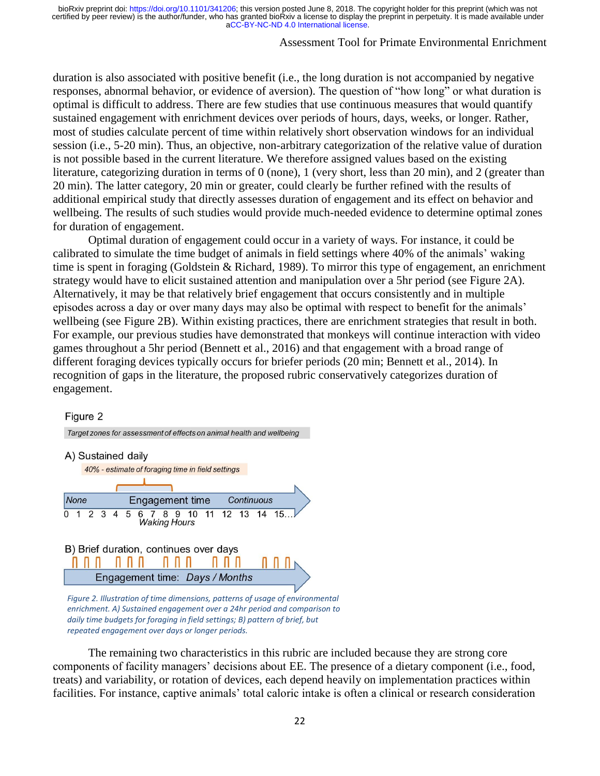### Assessment Tool for Primate Environmental Enrichment

duration is also associated with positive benefit (i.e., the long duration is not accompanied by negative responses, abnormal behavior, or evidence of aversion). The question of "how long" or what duration is optimal is difficult to address. There are few studies that use continuous measures that would quantify sustained engagement with enrichment devices over periods of hours, days, weeks, or longer. Rather, most of studies calculate percent of time within relatively short observation windows for an individual session (i.e., 5-20 min). Thus, an objective, non-arbitrary categorization of the relative value of duration is not possible based in the current literature. We therefore assigned values based on the existing literature, categorizing duration in terms of 0 (none), 1 (very short, less than 20 min), and 2 (greater than 20 min). The latter category, 20 min or greater, could clearly be further refined with the results of additional empirical study that directly assesses duration of engagement and its effect on behavior and wellbeing. The results of such studies would provide much-needed evidence to determine optimal zones for duration of engagement.

Optimal duration of engagement could occur in a variety of ways. For instance, it could be calibrated to simulate the time budget of animals in field settings where 40% of the animals' waking time is spent in foraging (Goldstein & Richard, 1989). To mirror this type of engagement, an enrichment strategy would have to elicit sustained attention and manipulation over a 5hr period (see Figure 2A). Alternatively, it may be that relatively brief engagement that occurs consistently and in multiple episodes across a day or over many days may also be optimal with respect to benefit for the animals' wellbeing (see Figure 2B). Within existing practices, there are enrichment strategies that result in both. For example, our previous studies have demonstrated that monkeys will continue interaction with video games throughout a 5hr period (Bennett et al., 2016) and that engagement with a broad range of different foraging devices typically occurs for briefer periods (20 min; Bennett et al., 2014). In recognition of gaps in the literature, the proposed rubric conservatively categorizes duration of engagement.

#### Figure 2



*enrichment. A) Sustained engagement over a 24hr period and comparison to daily time budgets for foraging in field settings; B) pattern of brief, but repeated engagement over days or longer periods.*

The remaining two characteristics in this rubric are included because they are strong core components of facility managers' decisions about EE. The presence of a dietary component (i.e., food, treats) and variability, or rotation of devices, each depend heavily on implementation practices within facilities. For instance, captive animals' total caloric intake is often a clinical or research consideration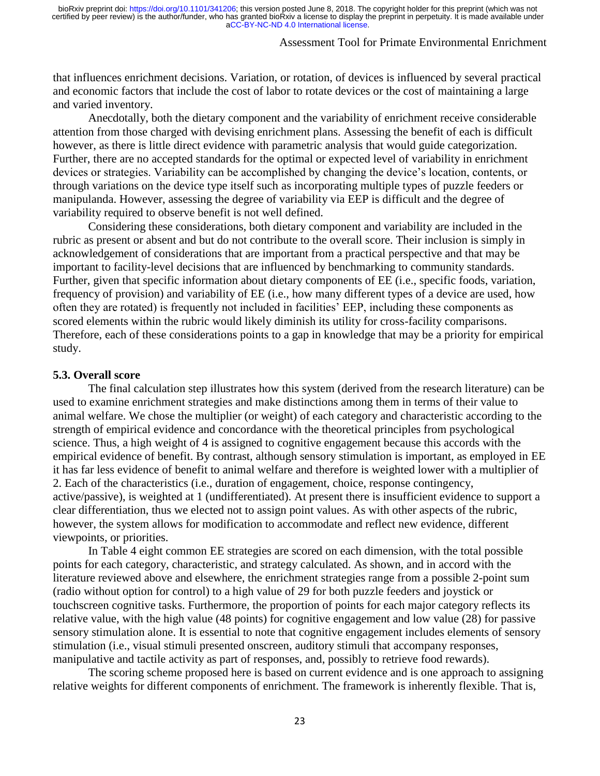### Assessment Tool for Primate Environmental Enrichment

that influences enrichment decisions. Variation, or rotation, of devices is influenced by several practical and economic factors that include the cost of labor to rotate devices or the cost of maintaining a large and varied inventory.

Anecdotally, both the dietary component and the variability of enrichment receive considerable attention from those charged with devising enrichment plans. Assessing the benefit of each is difficult however, as there is little direct evidence with parametric analysis that would guide categorization. Further, there are no accepted standards for the optimal or expected level of variability in enrichment devices or strategies. Variability can be accomplished by changing the device's location, contents, or through variations on the device type itself such as incorporating multiple types of puzzle feeders or manipulanda. However, assessing the degree of variability via EEP is difficult and the degree of variability required to observe benefit is not well defined.

Considering these considerations, both dietary component and variability are included in the rubric as present or absent and but do not contribute to the overall score. Their inclusion is simply in acknowledgement of considerations that are important from a practical perspective and that may be important to facility-level decisions that are influenced by benchmarking to community standards. Further, given that specific information about dietary components of EE (i.e., specific foods, variation, frequency of provision) and variability of EE (i.e., how many different types of a device are used, how often they are rotated) is frequently not included in facilities' EEP, including these components as scored elements within the rubric would likely diminish its utility for cross-facility comparisons. Therefore, each of these considerations points to a gap in knowledge that may be a priority for empirical study.

#### **5.3. Overall score**

The final calculation step illustrates how this system (derived from the research literature) can be used to examine enrichment strategies and make distinctions among them in terms of their value to animal welfare. We chose the multiplier (or weight) of each category and characteristic according to the strength of empirical evidence and concordance with the theoretical principles from psychological science. Thus, a high weight of 4 is assigned to cognitive engagement because this accords with the empirical evidence of benefit. By contrast, although sensory stimulation is important, as employed in EE it has far less evidence of benefit to animal welfare and therefore is weighted lower with a multiplier of 2. Each of the characteristics (i.e., duration of engagement, choice, response contingency, active/passive), is weighted at 1 (undifferentiated). At present there is insufficient evidence to support a clear differentiation, thus we elected not to assign point values. As with other aspects of the rubric, however, the system allows for modification to accommodate and reflect new evidence, different viewpoints, or priorities.

In Table 4 eight common EE strategies are scored on each dimension, with the total possible points for each category, characteristic, and strategy calculated. As shown, and in accord with the literature reviewed above and elsewhere, the enrichment strategies range from a possible 2-point sum (radio without option for control) to a high value of 29 for both puzzle feeders and joystick or touchscreen cognitive tasks. Furthermore, the proportion of points for each major category reflects its relative value, with the high value (48 points) for cognitive engagement and low value (28) for passive sensory stimulation alone. It is essential to note that cognitive engagement includes elements of sensory stimulation (i.e., visual stimuli presented onscreen, auditory stimuli that accompany responses, manipulative and tactile activity as part of responses, and, possibly to retrieve food rewards).

The scoring scheme proposed here is based on current evidence and is one approach to assigning relative weights for different components of enrichment. The framework is inherently flexible. That is,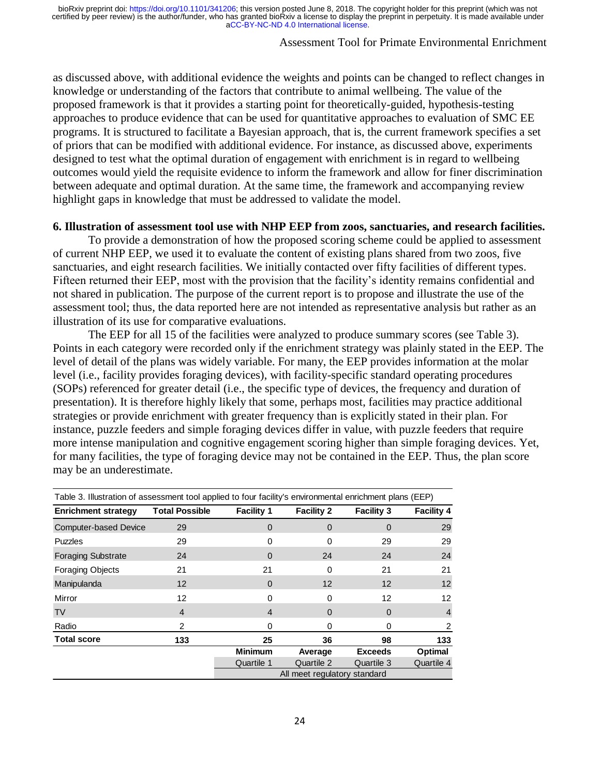# Assessment Tool for Primate Environmental Enrichment

as discussed above, with additional evidence the weights and points can be changed to reflect changes in knowledge or understanding of the factors that contribute to animal wellbeing. The value of the proposed framework is that it provides a starting point for theoretically-guided, hypothesis-testing approaches to produce evidence that can be used for quantitative approaches to evaluation of SMC EE programs. It is structured to facilitate a Bayesian approach, that is, the current framework specifies a set of priors that can be modified with additional evidence. For instance, as discussed above, experiments designed to test what the optimal duration of engagement with enrichment is in regard to wellbeing outcomes would yield the requisite evidence to inform the framework and allow for finer discrimination between adequate and optimal duration. At the same time, the framework and accompanying review highlight gaps in knowledge that must be addressed to validate the model.

# **6. Illustration of assessment tool use with NHP EEP from zoos, sanctuaries, and research facilities.**

To provide a demonstration of how the proposed scoring scheme could be applied to assessment of current NHP EEP, we used it to evaluate the content of existing plans shared from two zoos, five sanctuaries, and eight research facilities. We initially contacted over fifty facilities of different types. Fifteen returned their EEP, most with the provision that the facility's identity remains confidential and not shared in publication. The purpose of the current report is to propose and illustrate the use of the assessment tool; thus, the data reported here are not intended as representative analysis but rather as an illustration of its use for comparative evaluations.

The EEP for all 15 of the facilities were analyzed to produce summary scores (see Table 3). Points in each category were recorded only if the enrichment strategy was plainly stated in the EEP. The level of detail of the plans was widely variable. For many, the EEP provides information at the molar level (i.e., facility provides foraging devices), with facility-specific standard operating procedures (SOPs) referenced for greater detail (i.e., the specific type of devices, the frequency and duration of presentation). It is therefore highly likely that some, perhaps most, facilities may practice additional strategies or provide enrichment with greater frequency than is explicitly stated in their plan. For instance, puzzle feeders and simple foraging devices differ in value, with puzzle feeders that require more intense manipulation and cognitive engagement scoring higher than simple foraging devices. Yet, for many facilities, the type of foraging device may not be contained in the EEP. Thus, the plan score may be an underestimate.

| Table 3. Illustration of assessment tool applied to four facility's environmental enrichment plans (EEP) |                       |                   |                   |                   |                   |  |  |  |
|----------------------------------------------------------------------------------------------------------|-----------------------|-------------------|-------------------|-------------------|-------------------|--|--|--|
| <b>Enrichment strategy</b>                                                                               | <b>Total Possible</b> | <b>Facility 1</b> | <b>Facility 2</b> | <b>Facility 3</b> | <b>Facility 4</b> |  |  |  |
| <b>Computer-based Device</b>                                                                             | 29                    | $\Omega$          | $\Omega$          | $\Omega$          | 29                |  |  |  |
| <b>Puzzles</b>                                                                                           | 29                    | 0                 | O                 | 29                | 29                |  |  |  |
| <b>Foraging Substrate</b>                                                                                | 24                    | 0                 | 24                | 24                | 24                |  |  |  |
| <b>Foraging Objects</b>                                                                                  | 21                    | 21                | 0                 | 21                | 21                |  |  |  |
| Manipulanda                                                                                              | 12                    | 0                 | $12 \overline{ }$ | 12                | 12                |  |  |  |
| Mirror                                                                                                   | 12                    | 0                 | $\Omega$          | 12                | 12                |  |  |  |
| <b>TV</b>                                                                                                | $\overline{4}$        | 4                 | $\Omega$          | $\Omega$          | 4                 |  |  |  |
| Radio                                                                                                    | 2                     | 0                 | <sup>0</sup>      | $\Omega$          | 2                 |  |  |  |
| <b>Total score</b>                                                                                       | 133                   | 25                | 36                | 98                | 133               |  |  |  |
|                                                                                                          |                       | <b>Minimum</b>    | Average           | <b>Exceeds</b>    | Optimal           |  |  |  |
|                                                                                                          |                       | Quartile 1        | Quartile 2        | Quartile 3        | Quartile 4        |  |  |  |
| All meet regulatory standard                                                                             |                       |                   |                   |                   |                   |  |  |  |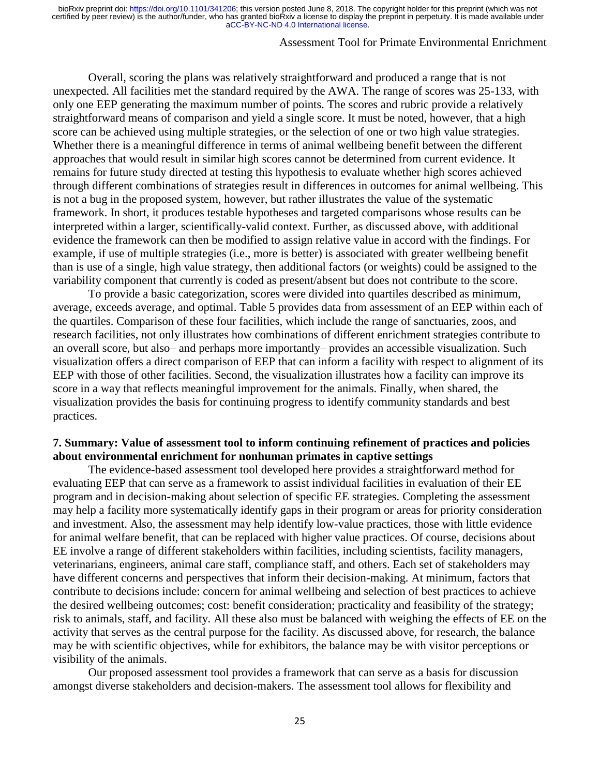# Assessment Tool for Primate Environmental Enrichment

Overall, scoring the plans was relatively straightforward and produced a range that is not unexpected. All facilities met the standard required by the AWA. The range of scores was 25-133, with only one EEP generating the maximum number of points. The scores and rubric provide a relatively straightforward means of comparison and yield a single score. It must be noted, however, that a high score can be achieved using multiple strategies, or the selection of one or two high value strategies. Whether there is a meaningful difference in terms of animal wellbeing benefit between the different approaches that would result in similar high scores cannot be determined from current evidence. It remains for future study directed at testing this hypothesis to evaluate whether high scores achieved through different combinations of strategies result in differences in outcomes for animal wellbeing. This is not a bug in the proposed system, however, but rather illustrates the value of the systematic framework. In short, it produces testable hypotheses and targeted comparisons whose results can be interpreted within a larger, scientifically-valid context. Further, as discussed above, with additional evidence the framework can then be modified to assign relative value in accord with the findings. For example, if use of multiple strategies (i.e., more is better) is associated with greater wellbeing benefit than is use of a single, high value strategy, then additional factors (or weights) could be assigned to the variability component that currently is coded as present/absent but does not contribute to the score.

To provide a basic categorization, scores were divided into quartiles described as minimum, average, exceeds average, and optimal. Table 5 provides data from assessment of an EEP within each of the quartiles. Comparison of these four facilities, which include the range of sanctuaries, zoos, and research facilities, not only illustrates how combinations of different enrichment strategies contribute to an overall score, but also– and perhaps more importantly– provides an accessible visualization. Such visualization offers a direct comparison of EEP that can inform a facility with respect to alignment of its EEP with those of other facilities. Second, the visualization illustrates how a facility can improve its score in a way that reflects meaningful improvement for the animals. Finally, when shared, the visualization provides the basis for continuing progress to identify community standards and best practices.

### **7. Summary: Value of assessment tool to inform continuing refinement of practices and policies about environmental enrichment for nonhuman primates in captive settings**

The evidence-based assessment tool developed here provides a straightforward method for evaluating EEP that can serve as a framework to assist individual facilities in evaluation of their EE program and in decision-making about selection of specific EE strategies. Completing the assessment may help a facility more systematically identify gaps in their program or areas for priority consideration and investment. Also, the assessment may help identify low-value practices, those with little evidence for animal welfare benefit, that can be replaced with higher value practices. Of course, decisions about EE involve a range of different stakeholders within facilities, including scientists, facility managers, veterinarians, engineers, animal care staff, compliance staff, and others. Each set of stakeholders may have different concerns and perspectives that inform their decision-making. At minimum, factors that contribute to decisions include: concern for animal wellbeing and selection of best practices to achieve the desired wellbeing outcomes; cost: benefit consideration; practicality and feasibility of the strategy; risk to animals, staff, and facility. All these also must be balanced with weighing the effects of EE on the activity that serves as the central purpose for the facility. As discussed above, for research, the balance may be with scientific objectives, while for exhibitors, the balance may be with visitor perceptions or visibility of the animals.

Our proposed assessment tool provides a framework that can serve as a basis for discussion amongst diverse stakeholders and decision-makers. The assessment tool allows for flexibility and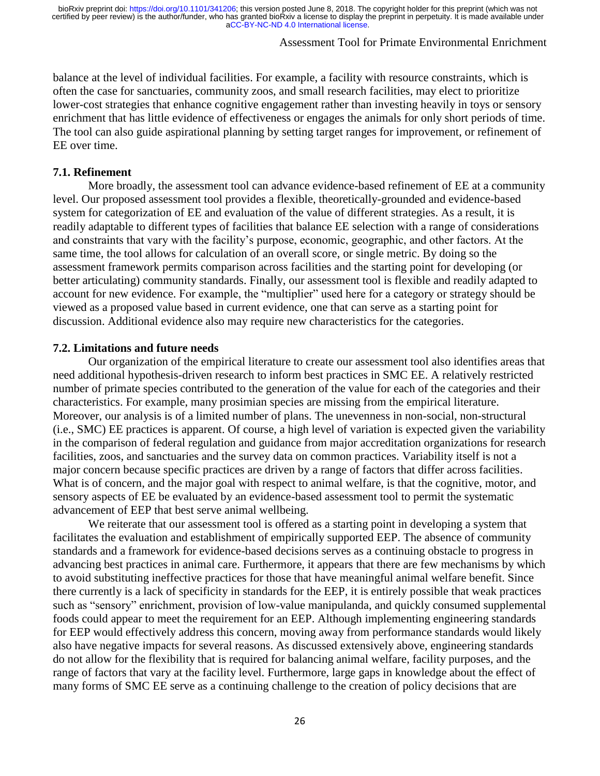# Assessment Tool for Primate Environmental Enrichment

balance at the level of individual facilities. For example, a facility with resource constraints, which is often the case for sanctuaries, community zoos, and small research facilities, may elect to prioritize lower-cost strategies that enhance cognitive engagement rather than investing heavily in toys or sensory enrichment that has little evidence of effectiveness or engages the animals for only short periods of time. The tool can also guide aspirational planning by setting target ranges for improvement, or refinement of EE over time.

### **7.1. Refinement**

More broadly, the assessment tool can advance evidence-based refinement of EE at a community level. Our proposed assessment tool provides a flexible, theoretically-grounded and evidence-based system for categorization of EE and evaluation of the value of different strategies. As a result, it is readily adaptable to different types of facilities that balance EE selection with a range of considerations and constraints that vary with the facility's purpose, economic, geographic, and other factors. At the same time, the tool allows for calculation of an overall score, or single metric. By doing so the assessment framework permits comparison across facilities and the starting point for developing (or better articulating) community standards. Finally, our assessment tool is flexible and readily adapted to account for new evidence. For example, the "multiplier" used here for a category or strategy should be viewed as a proposed value based in current evidence, one that can serve as a starting point for discussion. Additional evidence also may require new characteristics for the categories.

#### **7.2. Limitations and future needs**

Our organization of the empirical literature to create our assessment tool also identifies areas that need additional hypothesis-driven research to inform best practices in SMC EE. A relatively restricted number of primate species contributed to the generation of the value for each of the categories and their characteristics. For example, many prosimian species are missing from the empirical literature. Moreover, our analysis is of a limited number of plans. The unevenness in non-social, non-structural (i.e., SMC) EE practices is apparent. Of course, a high level of variation is expected given the variability in the comparison of federal regulation and guidance from major accreditation organizations for research facilities, zoos, and sanctuaries and the survey data on common practices. Variability itself is not a major concern because specific practices are driven by a range of factors that differ across facilities. What is of concern, and the major goal with respect to animal welfare, is that the cognitive, motor, and sensory aspects of EE be evaluated by an evidence-based assessment tool to permit the systematic advancement of EEP that best serve animal wellbeing.

We reiterate that our assessment tool is offered as a starting point in developing a system that facilitates the evaluation and establishment of empirically supported EEP. The absence of community standards and a framework for evidence-based decisions serves as a continuing obstacle to progress in advancing best practices in animal care. Furthermore, it appears that there are few mechanisms by which to avoid substituting ineffective practices for those that have meaningful animal welfare benefit. Since there currently is a lack of specificity in standards for the EEP, it is entirely possible that weak practices such as "sensory" enrichment, provision of low-value manipulanda, and quickly consumed supplemental foods could appear to meet the requirement for an EEP. Although implementing engineering standards for EEP would effectively address this concern, moving away from performance standards would likely also have negative impacts for several reasons. As discussed extensively above, engineering standards do not allow for the flexibility that is required for balancing animal welfare, facility purposes, and the range of factors that vary at the facility level. Furthermore, large gaps in knowledge about the effect of many forms of SMC EE serve as a continuing challenge to the creation of policy decisions that are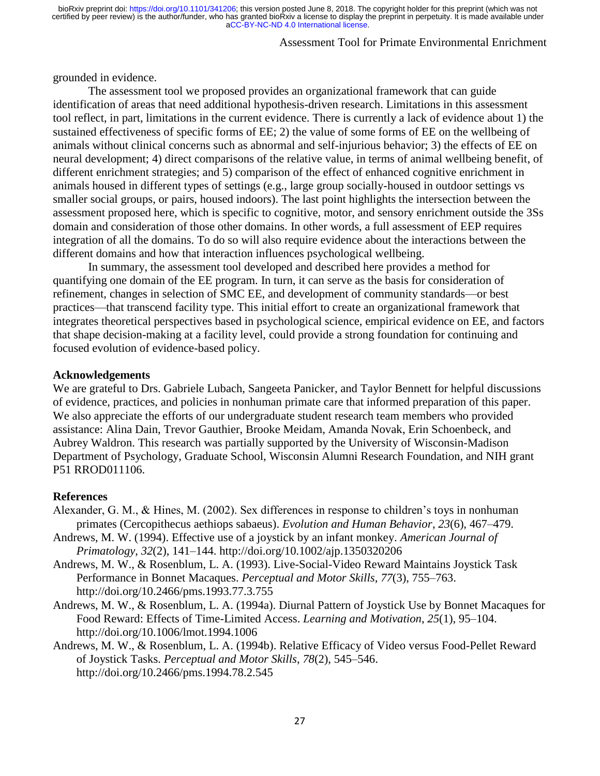# Assessment Tool for Primate Environmental Enrichment

grounded in evidence.

The assessment tool we proposed provides an organizational framework that can guide identification of areas that need additional hypothesis-driven research. Limitations in this assessment tool reflect, in part, limitations in the current evidence. There is currently a lack of evidence about 1) the sustained effectiveness of specific forms of EE; 2) the value of some forms of EE on the wellbeing of animals without clinical concerns such as abnormal and self-injurious behavior; 3) the effects of EE on neural development; 4) direct comparisons of the relative value, in terms of animal wellbeing benefit, of different enrichment strategies; and 5) comparison of the effect of enhanced cognitive enrichment in animals housed in different types of settings (e.g., large group socially-housed in outdoor settings vs smaller social groups, or pairs, housed indoors). The last point highlights the intersection between the assessment proposed here, which is specific to cognitive, motor, and sensory enrichment outside the 3Ss domain and consideration of those other domains. In other words, a full assessment of EEP requires integration of all the domains. To do so will also require evidence about the interactions between the different domains and how that interaction influences psychological wellbeing.

In summary, the assessment tool developed and described here provides a method for quantifying one domain of the EE program. In turn, it can serve as the basis for consideration of refinement, changes in selection of SMC EE, and development of community standards—or best practices—that transcend facility type. This initial effort to create an organizational framework that integrates theoretical perspectives based in psychological science, empirical evidence on EE, and factors that shape decision-making at a facility level, could provide a strong foundation for continuing and focused evolution of evidence-based policy.

#### **Acknowledgements**

We are grateful to Drs. Gabriele Lubach, Sangeeta Panicker, and Taylor Bennett for helpful discussions of evidence, practices, and policies in nonhuman primate care that informed preparation of this paper. We also appreciate the efforts of our undergraduate student research team members who provided assistance: Alina Dain, Trevor Gauthier, Brooke Meidam, Amanda Novak, Erin Schoenbeck, and Aubrey Waldron. This research was partially supported by the University of Wisconsin-Madison Department of Psychology, Graduate School, Wisconsin Alumni Research Foundation, and NIH grant P51 RROD011106.

#### **References**

- Alexander, G. M., & Hines, M. (2002). Sex differences in response to children's toys in nonhuman primates (Cercopithecus aethiops sabaeus). *Evolution and Human Behavior*, *23*(6), 467–479.
- Andrews, M. W. (1994). Effective use of a joystick by an infant monkey. *American Journal of Primatology*, *32*(2), 141–144. http://doi.org/10.1002/ajp.1350320206
- Andrews, M. W., & Rosenblum, L. A. (1993). Live-Social-Video Reward Maintains Joystick Task Performance in Bonnet Macaques. *Perceptual and Motor Skills*, *77*(3), 755–763. http://doi.org/10.2466/pms.1993.77.3.755
- Andrews, M. W., & Rosenblum, L. A. (1994a). Diurnal Pattern of Joystick Use by Bonnet Macaques for Food Reward: Effects of Time-Limited Access. *Learning and Motivation*, *25*(1), 95–104. http://doi.org/10.1006/lmot.1994.1006
- Andrews, M. W., & Rosenblum, L. A. (1994b). Relative Efficacy of Video versus Food-Pellet Reward of Joystick Tasks. *Perceptual and Motor Skills*, *78*(2), 545–546. http://doi.org/10.2466/pms.1994.78.2.545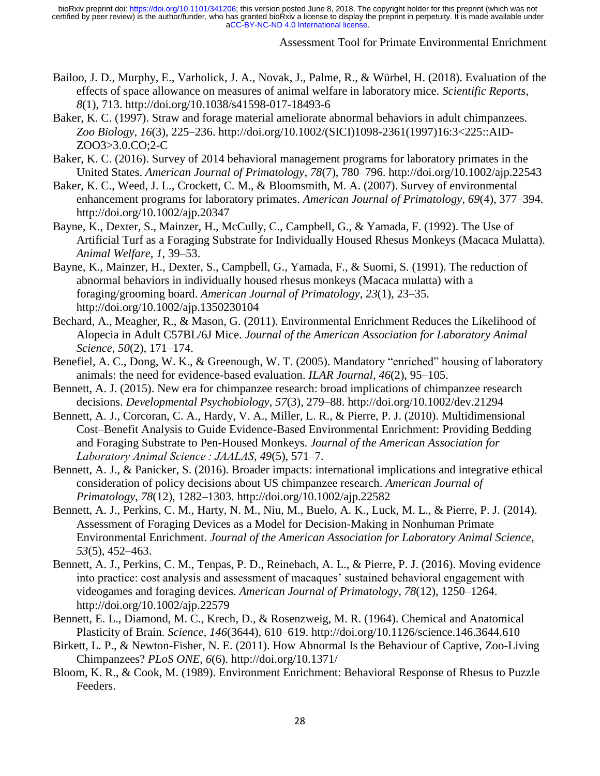Assessment Tool for Primate Environmental Enrichment

- Bailoo, J. D., Murphy, E., Varholick, J. A., Novak, J., Palme, R., & Würbel, H. (2018). Evaluation of the effects of space allowance on measures of animal welfare in laboratory mice. *Scientific Reports*, *8*(1), 713. http://doi.org/10.1038/s41598-017-18493-6
- Baker, K. C. (1997). Straw and forage material ameliorate abnormal behaviors in adult chimpanzees. *Zoo Biology*, *16*(3), 225–236. http://doi.org/10.1002/(SICI)1098-2361(1997)16:3<225::AID-ZOO3>3.0.CO;2-C
- Baker, K. C. (2016). Survey of 2014 behavioral management programs for laboratory primates in the United States. *American Journal of Primatology*, *78*(7), 780–796. http://doi.org/10.1002/ajp.22543
- Baker, K. C., Weed, J. L., Crockett, C. M., & Bloomsmith, M. A. (2007). Survey of environmental enhancement programs for laboratory primates. *American Journal of Primatology*, *69*(4), 377–394. http://doi.org/10.1002/ajp.20347
- Bayne, K., Dexter, S., Mainzer, H., McCully, C., Campbell, G., & Yamada, F. (1992). The Use of Artificial Turf as a Foraging Substrate for Individually Housed Rhesus Monkeys (Macaca Mulatta). *Animal Welfare*, *1*, 39–53.
- Bayne, K., Mainzer, H., Dexter, S., Campbell, G., Yamada, F., & Suomi, S. (1991). The reduction of abnormal behaviors in individually housed rhesus monkeys (Macaca mulatta) with a foraging/grooming board. *American Journal of Primatology*, *23*(1), 23–35. http://doi.org/10.1002/ajp.1350230104
- Bechard, A., Meagher, R., & Mason, G. (2011). Environmental Enrichment Reduces the Likelihood of Alopecia in Adult C57BL/6J Mice. *Journal of the American Association for Laboratory Animal Science*, *50*(2), 171–174.
- Benefiel, A. C., Dong, W. K., & Greenough, W. T. (2005). Mandatory "enriched" housing of laboratory animals: the need for evidence-based evaluation. *ILAR Journal*, *46*(2), 95–105.
- Bennett, A. J. (2015). New era for chimpanzee research: broad implications of chimpanzee research decisions. *Developmental Psychobiology*, *57*(3), 279–88. http://doi.org/10.1002/dev.21294
- Bennett, A. J., Corcoran, C. A., Hardy, V. A., Miller, L. R., & Pierre, P. J. (2010). Multidimensional Cost–Benefit Analysis to Guide Evidence-Based Environmental Enrichment: Providing Bedding and Foraging Substrate to Pen-Housed Monkeys. *Journal of the American Association for Laboratory Animal Science : JAALAS*, *49*(5), 571–7.
- Bennett, A. J., & Panicker, S. (2016). Broader impacts: international implications and integrative ethical consideration of policy decisions about US chimpanzee research. *American Journal of Primatology*, *78*(12), 1282–1303. http://doi.org/10.1002/ajp.22582
- Bennett, A. J., Perkins, C. M., Harty, N. M., Niu, M., Buelo, A. K., Luck, M. L., & Pierre, P. J. (2014). Assessment of Foraging Devices as a Model for Decision-Making in Nonhuman Primate Environmental Enrichment. *Journal of the American Association for Laboratory Animal Science*, *53*(5), 452–463.
- Bennett, A. J., Perkins, C. M., Tenpas, P. D., Reinebach, A. L., & Pierre, P. J. (2016). Moving evidence into practice: cost analysis and assessment of macaques' sustained behavioral engagement with videogames and foraging devices. *American Journal of Primatology*, *78*(12), 1250–1264. http://doi.org/10.1002/ajp.22579
- Bennett, E. L., Diamond, M. C., Krech, D., & Rosenzweig, M. R. (1964). Chemical and Anatomical Plasticity of Brain. *Science*, *146*(3644), 610–619. http://doi.org/10.1126/science.146.3644.610
- Birkett, L. P., & Newton-Fisher, N. E. (2011). How Abnormal Is the Behaviour of Captive, Zoo-Living Chimpanzees? *PLoS ONE*, *6*(6). http://doi.org/10.1371/
- Bloom, K. R., & Cook, M. (1989). Environment Enrichment: Behavioral Response of Rhesus to Puzzle Feeders.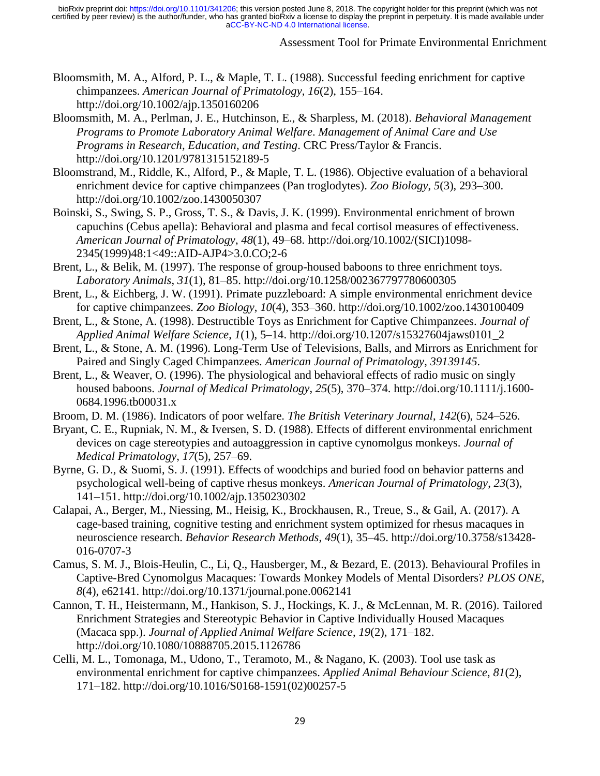### Assessment Tool for Primate Environmental Enrichment

- Bloomsmith, M. A., Alford, P. L., & Maple, T. L. (1988). Successful feeding enrichment for captive chimpanzees. *American Journal of Primatology*, *16*(2), 155–164. http://doi.org/10.1002/ajp.1350160206
- Bloomsmith, M. A., Perlman, J. E., Hutchinson, E., & Sharpless, M. (2018). *Behavioral Management Programs to Promote Laboratory Animal Welfare*. *Management of Animal Care and Use Programs in Research, Education, and Testing*. CRC Press/Taylor & Francis. http://doi.org/10.1201/9781315152189-5
- Bloomstrand, M., Riddle, K., Alford, P., & Maple, T. L. (1986). Objective evaluation of a behavioral enrichment device for captive chimpanzees (Pan troglodytes). *Zoo Biology*, *5*(3), 293–300. http://doi.org/10.1002/zoo.1430050307
- Boinski, S., Swing, S. P., Gross, T. S., & Davis, J. K. (1999). Environmental enrichment of brown capuchins (Cebus apella): Behavioral and plasma and fecal cortisol measures of effectiveness. *American Journal of Primatology*, *48*(1), 49–68. http://doi.org/10.1002/(SICI)1098- 2345(1999)48:1<49::AID-AJP4>3.0.CO;2-6
- Brent, L., & Belik, M. (1997). The response of group-housed baboons to three enrichment toys. *Laboratory Animals*, *31*(1), 81–85. http://doi.org/10.1258/002367797780600305
- Brent, L., & Eichberg, J. W. (1991). Primate puzzleboard: A simple environmental enrichment device for captive chimpanzees. *Zoo Biology*, *10*(4), 353–360. http://doi.org/10.1002/zoo.1430100409
- Brent, L., & Stone, A. (1998). Destructible Toys as Enrichment for Captive Chimpanzees. *Journal of Applied Animal Welfare Science*, *1*(1), 5–14. http://doi.org/10.1207/s15327604jaws0101\_2
- Brent, L., & Stone, A. M. (1996). Long-Term Use of Televisions, Balls, and Mirrors as Enrichment for Paired and Singly Caged Chimpanzees. *American Journal of Primatology*, *39139145*.
- Brent, L., & Weaver, O. (1996). The physiological and behavioral effects of radio music on singly housed baboons. *Journal of Medical Primatology*, *25*(5), 370–374. http://doi.org/10.1111/j.1600- 0684.1996.tb00031.x
- Broom, D. M. (1986). Indicators of poor welfare. *The British Veterinary Journal*, *142*(6), 524–526.
- Bryant, C. E., Rupniak, N. M., & Iversen, S. D. (1988). Effects of different environmental enrichment devices on cage stereotypies and autoaggression in captive cynomolgus monkeys. *Journal of Medical Primatology*, *17*(5), 257–69.
- Byrne, G. D., & Suomi, S. J. (1991). Effects of woodchips and buried food on behavior patterns and psychological well-being of captive rhesus monkeys. *American Journal of Primatology*, *23*(3), 141–151. http://doi.org/10.1002/ajp.1350230302
- Calapai, A., Berger, M., Niessing, M., Heisig, K., Brockhausen, R., Treue, S., & Gail, A. (2017). A cage-based training, cognitive testing and enrichment system optimized for rhesus macaques in neuroscience research. *Behavior Research Methods*, *49*(1), 35–45. http://doi.org/10.3758/s13428- 016-0707-3
- Camus, S. M. J., Blois-Heulin, C., Li, Q., Hausberger, M., & Bezard, E. (2013). Behavioural Profiles in Captive-Bred Cynomolgus Macaques: Towards Monkey Models of Mental Disorders? *PLOS ONE*, *8*(4), e62141. http://doi.org/10.1371/journal.pone.0062141
- Cannon, T. H., Heistermann, M., Hankison, S. J., Hockings, K. J., & McLennan, M. R. (2016). Tailored Enrichment Strategies and Stereotypic Behavior in Captive Individually Housed Macaques (Macaca spp.). *Journal of Applied Animal Welfare Science*, *19*(2), 171–182. http://doi.org/10.1080/10888705.2015.1126786
- Celli, M. L., Tomonaga, M., Udono, T., Teramoto, M., & Nagano, K. (2003). Tool use task as environmental enrichment for captive chimpanzees. *Applied Animal Behaviour Science*, *81*(2), 171–182. http://doi.org/10.1016/S0168-1591(02)00257-5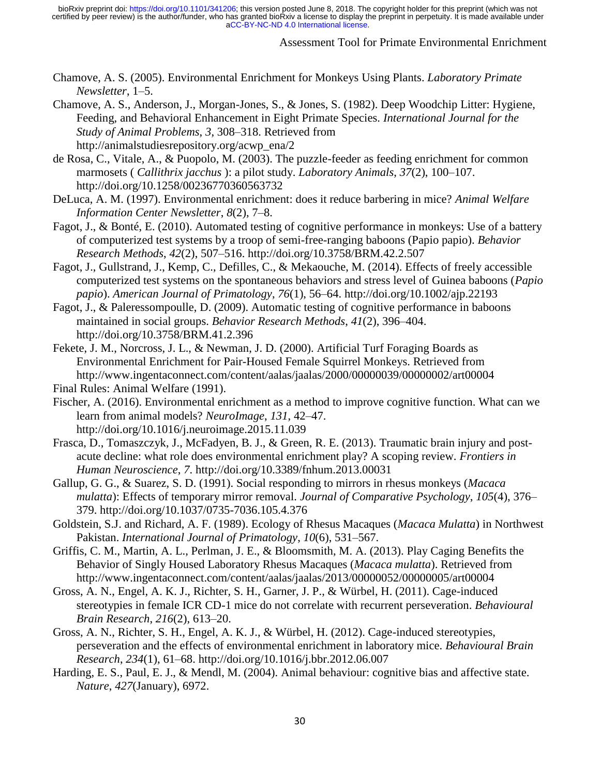### Assessment Tool for Primate Environmental Enrichment

Chamove, A. S. (2005). Environmental Enrichment for Monkeys Using Plants. *Laboratory Primate Newsletter*, 1–5.

Chamove, A. S., Anderson, J., Morgan-Jones, S., & Jones, S. (1982). Deep Woodchip Litter: Hygiene, Feeding, and Behavioral Enhancement in Eight Primate Species. *International Journal for the Study of Animal Problems*, *3*, 308–318. Retrieved from http://animalstudiesrepository.org/acwp\_ena/2

de Rosa, C., Vitale, A., & Puopolo, M. (2003). The puzzle-feeder as feeding enrichment for common marmosets ( *Callithrix jacchus* ): a pilot study. *Laboratory Animals*, *37*(2), 100–107. http://doi.org/10.1258/00236770360563732

DeLuca, A. M. (1997). Environmental enrichment: does it reduce barbering in mice? *Animal Welfare Information Center Newsletter*, *8*(2), 7–8.

- Fagot, J., & Bonté, E. (2010). Automated testing of cognitive performance in monkeys: Use of a battery of computerized test systems by a troop of semi-free-ranging baboons (Papio papio). *Behavior Research Methods*, *42*(2), 507–516. http://doi.org/10.3758/BRM.42.2.507
- Fagot, J., Gullstrand, J., Kemp, C., Defilles, C., & Mekaouche, M. (2014). Effects of freely accessible computerized test systems on the spontaneous behaviors and stress level of Guinea baboons (*Papio papio*). *American Journal of Primatology*, *76*(1), 56–64. http://doi.org/10.1002/ajp.22193
- Fagot, J., & Paleressompoulle, D. (2009). Automatic testing of cognitive performance in baboons maintained in social groups. *Behavior Research Methods*, *41*(2), 396–404. http://doi.org/10.3758/BRM.41.2.396
- Fekete, J. M., Norcross, J. L., & Newman, J. D. (2000). Artificial Turf Foraging Boards as Environmental Enrichment for Pair-Housed Female Squirrel Monkeys. Retrieved from http://www.ingentaconnect.com/content/aalas/jaalas/2000/00000039/00000002/art00004 Final Rules: Animal Welfare (1991).
- Fischer, A. (2016). Environmental enrichment as a method to improve cognitive function. What can we learn from animal models? *NeuroImage*, *131*, 42–47. http://doi.org/10.1016/j.neuroimage.2015.11.039
- Frasca, D., Tomaszczyk, J., McFadyen, B. J., & Green, R. E. (2013). Traumatic brain injury and postacute decline: what role does environmental enrichment play? A scoping review. *Frontiers in Human Neuroscience*, *7*. http://doi.org/10.3389/fnhum.2013.00031
- Gallup, G. G., & Suarez, S. D. (1991). Social responding to mirrors in rhesus monkeys (*Macaca mulatta*): Effects of temporary mirror removal. *Journal of Comparative Psychology*, *105*(4), 376– 379. http://doi.org/10.1037/0735-7036.105.4.376
- Goldstein, S.J. and Richard, A. F. (1989). Ecology of Rhesus Macaques (*Macaca Mulatta*) in Northwest Pakistan. *International Journal of Primatology*, *10*(6), 531–567.
- Griffis, C. M., Martin, A. L., Perlman, J. E., & Bloomsmith, M. A. (2013). Play Caging Benefits the Behavior of Singly Housed Laboratory Rhesus Macaques (*Macaca mulatta*). Retrieved from http://www.ingentaconnect.com/content/aalas/jaalas/2013/00000052/00000005/art00004
- Gross, A. N., Engel, A. K. J., Richter, S. H., Garner, J. P., & Würbel, H. (2011). Cage-induced stereotypies in female ICR CD-1 mice do not correlate with recurrent perseveration. *Behavioural Brain Research*, *216*(2), 613–20.
- Gross, A. N., Richter, S. H., Engel, A. K. J., & Würbel, H. (2012). Cage-induced stereotypies, perseveration and the effects of environmental enrichment in laboratory mice. *Behavioural Brain Research*, *234*(1), 61–68. http://doi.org/10.1016/j.bbr.2012.06.007
- Harding, E. S., Paul, E. J., & Mendl, M. (2004). Animal behaviour: cognitive bias and affective state. *Nature*, *427*(January), 6972.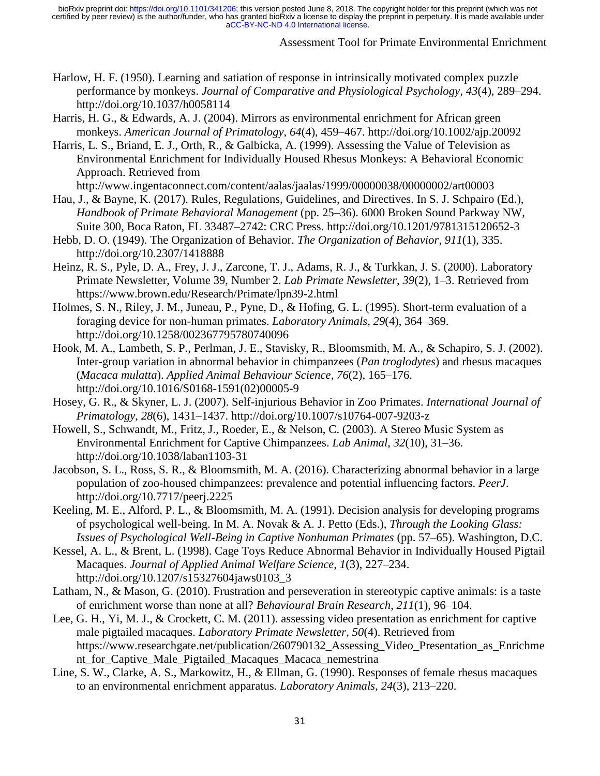## Assessment Tool for Primate Environmental Enrichment

- Harlow, H. F. (1950). Learning and satiation of response in intrinsically motivated complex puzzle performance by monkeys. *Journal of Comparative and Physiological Psychology*, *43*(4), 289–294. http://doi.org/10.1037/h0058114
- Harris, H. G., & Edwards, A. J. (2004). Mirrors as environmental enrichment for African green monkeys. *American Journal of Primatology*, *64*(4), 459–467. http://doi.org/10.1002/ajp.20092
- Harris, L. S., Briand, E. J., Orth, R., & Galbicka, A. (1999). Assessing the Value of Television as Environmental Enrichment for Individually Housed Rhesus Monkeys: A Behavioral Economic Approach. Retrieved from
	- http://www.ingentaconnect.com/content/aalas/jaalas/1999/00000038/00000002/art00003
- Hau, J., & Bayne, K. (2017). Rules, Regulations, Guidelines, and Directives. In S. J. Schpairo (Ed.), *Handbook of Primate Behavioral Management* (pp. 25–36). 6000 Broken Sound Parkway NW, Suite 300, Boca Raton, FL 33487–2742: CRC Press. http://doi.org/10.1201/9781315120652-3
- Hebb, D. O. (1949). The Organization of Behavior. *The Organization of Behavior*, *911*(1), 335. http://doi.org/10.2307/1418888
- Heinz, R. S., Pyle, D. A., Frey, J. J., Zarcone, T. J., Adams, R. J., & Turkkan, J. S. (2000). Laboratory Primate Newsletter, Volume 39, Number 2. *Lab Primate Newsletter*, *39*(2), 1–3. Retrieved from https://www.brown.edu/Research/Primate/lpn39-2.html
- Holmes, S. N., Riley, J. M., Juneau, P., Pyne, D., & Hofing, G. L. (1995). Short-term evaluation of a foraging device for non-human primates. *Laboratory Animals*, *29*(4), 364–369. http://doi.org/10.1258/002367795780740096
- Hook, M. A., Lambeth, S. P., Perlman, J. E., Stavisky, R., Bloomsmith, M. A., & Schapiro, S. J. (2002). Inter-group variation in abnormal behavior in chimpanzees (*Pan troglodytes*) and rhesus macaques (*Macaca mulatta*). *Applied Animal Behaviour Science*, *76*(2), 165–176. http://doi.org/10.1016/S0168-1591(02)00005-9
- Hosey, G. R., & Skyner, L. J. (2007). Self-injurious Behavior in Zoo Primates. *International Journal of Primatology*, *28*(6), 1431–1437. http://doi.org/10.1007/s10764-007-9203-z
- Howell, S., Schwandt, M., Fritz, J., Roeder, E., & Nelson, C. (2003). A Stereo Music System as Environmental Enrichment for Captive Chimpanzees. *Lab Animal*, *32*(10), 31–36. http://doi.org/10.1038/laban1103-31
- Jacobson, S. L., Ross, S. R., & Bloomsmith, M. A. (2016). Characterizing abnormal behavior in a large population of zoo-housed chimpanzees: prevalence and potential influencing factors. *PeerJ*. http://doi.org/10.7717/peerj.2225
- Keeling, M. E., Alford, P. L., & Bloomsmith, M. A. (1991). Decision analysis for developing programs of psychological well-being. In M. A. Novak & A. J. Petto (Eds.), *Through the Looking Glass: Issues of Psychological Well-Being in Captive Nonhuman Primates* (pp. 57–65). Washington, D.C.
- Kessel, A. L., & Brent, L. (1998). Cage Toys Reduce Abnormal Behavior in Individually Housed Pigtail Macaques. *Journal of Applied Animal Welfare Science*, *1*(3), 227–234. http://doi.org/10.1207/s15327604jaws0103\_3
- Latham, N., & Mason, G. (2010). Frustration and perseveration in stereotypic captive animals: is a taste of enrichment worse than none at all? *Behavioural Brain Research*, *211*(1), 96–104.
- Lee, G. H., Yi, M. J., & Crockett, C. M. (2011). assessing video presentation as enrichment for captive male pigtailed macaques. *Laboratory Primate Newsletter*, *50*(4). Retrieved from https://www.researchgate.net/publication/260790132\_Assessing\_Video\_Presentation\_as\_Enrichme nt\_for\_Captive\_Male\_Pigtailed\_Macaques\_Macaca\_nemestrina
- Line, S. W., Clarke, A. S., Markowitz, H., & Ellman, G. (1990). Responses of female rhesus macaques to an environmental enrichment apparatus. *Laboratory Animals*, *24*(3), 213–220.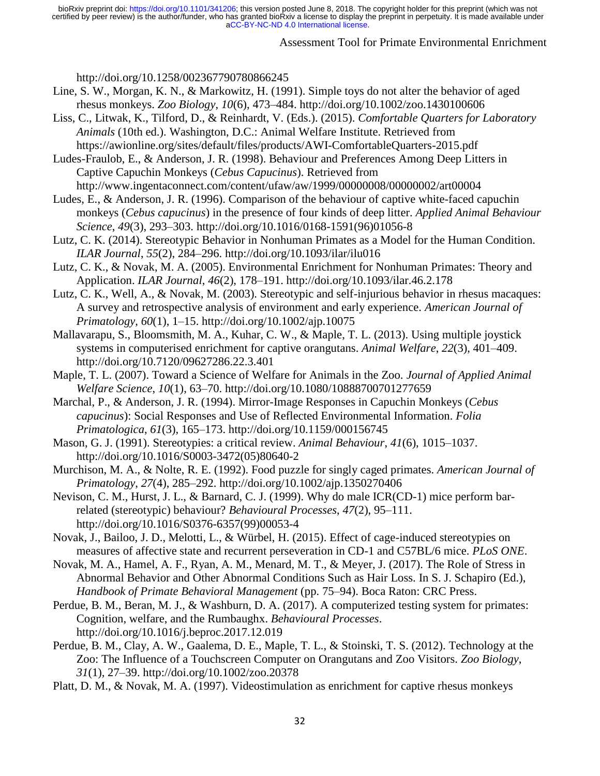# Assessment Tool for Primate Environmental Enrichment

http://doi.org/10.1258/002367790780866245

- Line, S. W., Morgan, K. N., & Markowitz, H. (1991). Simple toys do not alter the behavior of aged rhesus monkeys. *Zoo Biology*, *10*(6), 473–484. http://doi.org/10.1002/zoo.1430100606
- Liss, C., Litwak, K., Tilford, D., & Reinhardt, V. (Eds.). (2015). *Comfortable Quarters for Laboratory Animals* (10th ed.). Washington, D.C.: Animal Welfare Institute. Retrieved from https://awionline.org/sites/default/files/products/AWI-ComfortableQuarters-2015.pdf

Ludes-Fraulob, E., & Anderson, J. R. (1998). Behaviour and Preferences Among Deep Litters in Captive Capuchin Monkeys (*Cebus Capucinus*). Retrieved from http://www.ingentaconnect.com/content/ufaw/aw/1999/00000008/00000002/art00004

- Ludes, E., & Anderson, J. R. (1996). Comparison of the behaviour of captive white-faced capuchin monkeys (*Cebus capucinus*) in the presence of four kinds of deep litter. *Applied Animal Behaviour Science*, *49*(3), 293–303. http://doi.org/10.1016/0168-1591(96)01056-8
- Lutz, C. K. (2014). Stereotypic Behavior in Nonhuman Primates as a Model for the Human Condition. *ILAR Journal*, *55*(2), 284–296. http://doi.org/10.1093/ilar/ilu016
- Lutz, C. K., & Novak, M. A. (2005). Environmental Enrichment for Nonhuman Primates: Theory and Application. *ILAR Journal*, *46*(2), 178–191. http://doi.org/10.1093/ilar.46.2.178
- Lutz, C. K., Well, A., & Novak, M. (2003). Stereotypic and self-injurious behavior in rhesus macaques: A survey and retrospective analysis of environment and early experience. *American Journal of Primatology*, *60*(1), 1–15. http://doi.org/10.1002/ajp.10075
- Mallavarapu, S., Bloomsmith, M. A., Kuhar, C. W., & Maple, T. L. (2013). Using multiple joystick systems in computerised enrichment for captive orangutans. *Animal Welfare*, *22*(3), 401–409. http://doi.org/10.7120/09627286.22.3.401
- Maple, T. L. (2007). Toward a Science of Welfare for Animals in the Zoo. *Journal of Applied Animal Welfare Science*, *10*(1), 63–70. http://doi.org/10.1080/10888700701277659
- Marchal, P., & Anderson, J. R. (1994). Mirror-Image Responses in Capuchin Monkeys (*Cebus capucinus*): Social Responses and Use of Reflected Environmental Information. *Folia Primatologica*, *61*(3), 165–173. http://doi.org/10.1159/000156745
- Mason, G. J. (1991). Stereotypies: a critical review. *Animal Behaviour*, *41*(6), 1015–1037. http://doi.org/10.1016/S0003-3472(05)80640-2
- Murchison, M. A., & Nolte, R. E. (1992). Food puzzle for singly caged primates. *American Journal of Primatology*, *27*(4), 285–292. http://doi.org/10.1002/ajp.1350270406
- Nevison, C. M., Hurst, J. L., & Barnard, C. J. (1999). Why do male ICR(CD-1) mice perform barrelated (stereotypic) behaviour? *Behavioural Processes*, *47*(2), 95–111. http://doi.org/10.1016/S0376-6357(99)00053-4
- Novak, J., Bailoo, J. D., Melotti, L., & Würbel, H. (2015). Effect of cage-induced stereotypies on measures of affective state and recurrent perseveration in CD-1 and C57BL/6 mice. *PLoS ONE*.
- Novak, M. A., Hamel, A. F., Ryan, A. M., Menard, M. T., & Meyer, J. (2017). The Role of Stress in Abnormal Behavior and Other Abnormal Conditions Such as Hair Loss. In S. J. Schapiro (Ed.), *Handbook of Primate Behavioral Management* (pp. 75–94). Boca Raton: CRC Press.
- Perdue, B. M., Beran, M. J., & Washburn, D. A. (2017). A computerized testing system for primates: Cognition, welfare, and the Rumbaughx. *Behavioural Processes*. http://doi.org/10.1016/j.beproc.2017.12.019
- Perdue, B. M., Clay, A. W., Gaalema, D. E., Maple, T. L., & Stoinski, T. S. (2012). Technology at the Zoo: The Influence of a Touchscreen Computer on Orangutans and Zoo Visitors. *Zoo Biology*, *31*(1), 27–39. http://doi.org/10.1002/zoo.20378
- Platt, D. M., & Novak, M. A. (1997). Videostimulation as enrichment for captive rhesus monkeys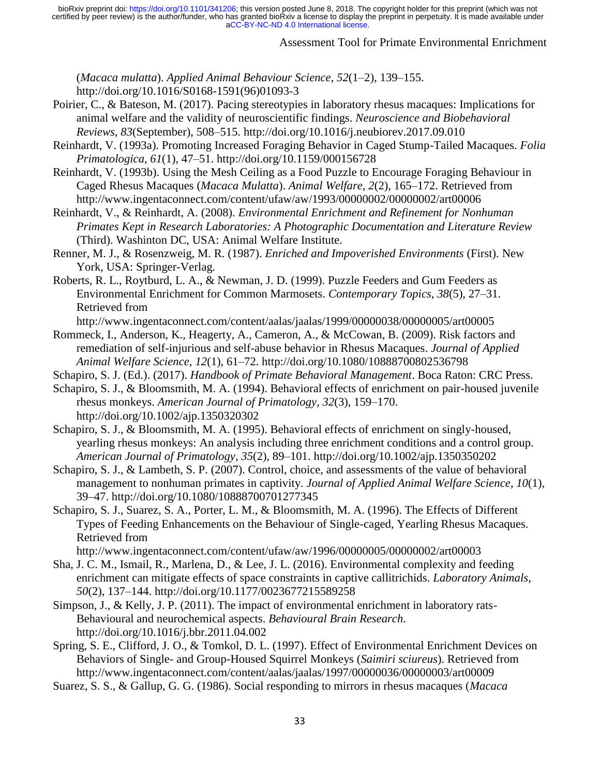## Assessment Tool for Primate Environmental Enrichment

(*Macaca mulatta*). *Applied Animal Behaviour Science*, *52*(1–2), 139–155. http://doi.org/10.1016/S0168-1591(96)01093-3

- Poirier, C., & Bateson, M. (2017). Pacing stereotypies in laboratory rhesus macaques: Implications for animal welfare and the validity of neuroscientific findings. *Neuroscience and Biobehavioral Reviews*, *83*(September), 508–515. http://doi.org/10.1016/j.neubiorev.2017.09.010
- Reinhardt, V. (1993a). Promoting Increased Foraging Behavior in Caged Stump-Tailed Macaques. *Folia Primatologica*, *61*(1), 47–51. http://doi.org/10.1159/000156728
- Reinhardt, V. (1993b). Using the Mesh Ceiling as a Food Puzzle to Encourage Foraging Behaviour in Caged Rhesus Macaques (*Macaca Mulatta*). *Animal Welfare*, *2*(2), 165–172. Retrieved from http://www.ingentaconnect.com/content/ufaw/aw/1993/00000002/00000002/art00006
- Reinhardt, V., & Reinhardt, A. (2008). *Environmental Enrichment and Refinement for Nonhuman Primates Kept in Research Laboratories: A Photographic Documentation and Literature Review* (Third). Washinton DC, USA: Animal Welfare Institute.
- Renner, M. J., & Rosenzweig, M. R. (1987). *Enriched and Impoverished Environments* (First). New York, USA: Springer-Verlag.
- Roberts, R. L., Roytburd, L. A., & Newman, J. D. (1999). Puzzle Feeders and Gum Feeders as Environmental Enrichment for Common Marmosets. *Contemporary Topics*, *38*(5), 27–31. Retrieved from

http://www.ingentaconnect.com/content/aalas/jaalas/1999/00000038/00000005/art00005

- Rommeck, I., Anderson, K., Heagerty, A., Cameron, A., & McCowan, B. (2009). Risk factors and remediation of self-injurious and self-abuse behavior in Rhesus Macaques. *Journal of Applied Animal Welfare Science*, *12*(1), 61–72. http://doi.org/10.1080/10888700802536798
- Schapiro, S. J. (Ed.). (2017). *Handbook of Primate Behavioral Management*. Boca Raton: CRC Press.
- Schapiro, S. J., & Bloomsmith, M. A. (1994). Behavioral effects of enrichment on pair-housed juvenile rhesus monkeys. *American Journal of Primatology*, *32*(3), 159–170. http://doi.org/10.1002/ajp.1350320302
- Schapiro, S. J., & Bloomsmith, M. A. (1995). Behavioral effects of enrichment on singly-housed, yearling rhesus monkeys: An analysis including three enrichment conditions and a control group. *American Journal of Primatology*, *35*(2), 89–101. http://doi.org/10.1002/ajp.1350350202
- Schapiro, S. J., & Lambeth, S. P. (2007). Control, choice, and assessments of the value of behavioral management to nonhuman primates in captivity. *Journal of Applied Animal Welfare Science*, *10*(1), 39–47. http://doi.org/10.1080/10888700701277345
- Schapiro, S. J., Suarez, S. A., Porter, L. M., & Bloomsmith, M. A. (1996). The Effects of Different Types of Feeding Enhancements on the Behaviour of Single-caged, Yearling Rhesus Macaques. Retrieved from

http://www.ingentaconnect.com/content/ufaw/aw/1996/00000005/00000002/art00003

- Sha, J. C. M., Ismail, R., Marlena, D., & Lee, J. L. (2016). Environmental complexity and feeding enrichment can mitigate effects of space constraints in captive callitrichids. *Laboratory Animals*, *50*(2), 137–144. http://doi.org/10.1177/0023677215589258
- Simpson, J., & Kelly, J. P. (2011). The impact of environmental enrichment in laboratory rats-Behavioural and neurochemical aspects. *Behavioural Brain Research*. http://doi.org/10.1016/j.bbr.2011.04.002
- Spring, S. E., Clifford, J. O., & Tomkol, D. L. (1997). Effect of Environmental Enrichment Devices on Behaviors of Single- and Group-Housed Squirrel Monkeys (*Saimiri sciureus*). Retrieved from http://www.ingentaconnect.com/content/aalas/jaalas/1997/00000036/00000003/art00009
- Suarez, S. S., & Gallup, G. G. (1986). Social responding to mirrors in rhesus macaques (*Macaca*